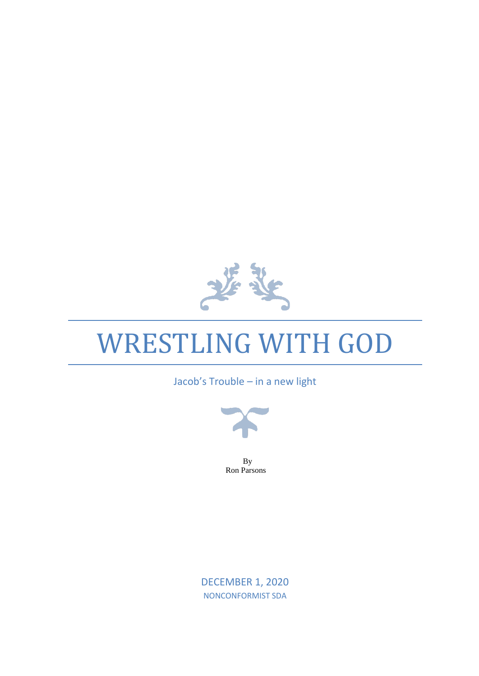

# WRESTLING WITH GOD

Jacob's Trouble – in a new light



By Ron Parsons

DECEMBER 1, 2020 NONCONFORMIST SDA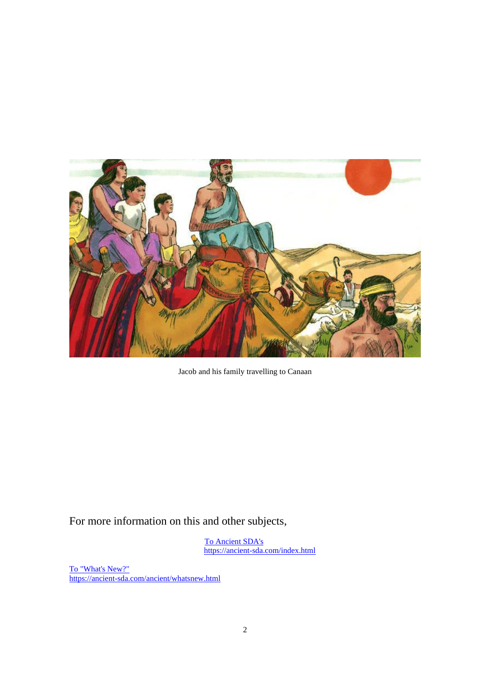

Jacob and his family travelling to Canaan

For more information on this and other subjects,

[To Ancient SDA's](https://ancient-sda.com/index.html)  https://ancient-sda.com/index.html

[To "What's New?"](https://ancient-sda.com/ancient/whatsnew.html) <https://ancient-sda.com/ancient/whatsnew.html>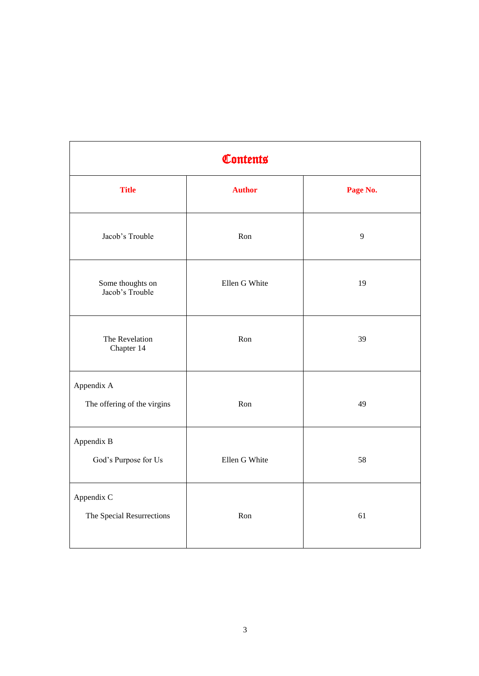| Contents                                  |               |          |
|-------------------------------------------|---------------|----------|
| <b>Title</b>                              | <b>Author</b> | Page No. |
| Jacob's Trouble                           | Ron           | 9        |
| Some thoughts on<br>Jacob's Trouble       | Ellen G White | 19       |
| The Revelation<br>Chapter 14              | Ron           | 39       |
| Appendix A<br>The offering of the virgins | Ron           | 49       |
| Appendix B<br>God's Purpose for Us        | Ellen G White | 58       |
| Appendix C<br>The Special Resurrections   | Ron           | 61       |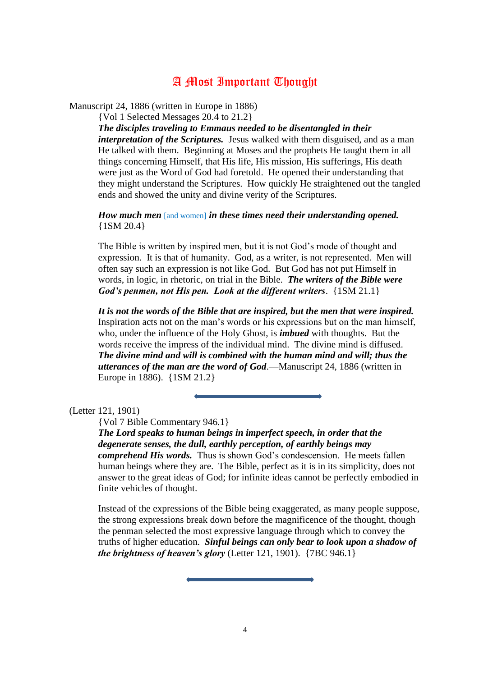# A Most Important Thought

Manuscript 24, 1886 (written in Europe in 1886)

{Vol 1 Selected Messages 20.4 to 21.2}

*The disciples traveling to Emmaus needed to be disentangled in their interpretation of the Scriptures.* Jesus walked with them disguised, and as a man He talked with them. Beginning at Moses and the prophets He taught them in all things concerning Himself, that His life, His mission, His sufferings, His death were just as the Word of God had foretold. He opened their understanding that they might understand the Scriptures. How quickly He straightened out the tangled ends and showed the unity and divine verity of the Scriptures.

*How much men* [and women] *in these times need their understanding opened.* {1SM 20.4}

The Bible is written by inspired men, but it is not God's mode of thought and expression. It is that of humanity. God, as a writer, is not represented. Men will often say such an expression is not like God. But God has not put Himself in words, in logic, in rhetoric, on trial in the Bible. *The writers of the Bible were God's penmen, not His pen. Look at the different writers*. {1SM 21.1}

*It is not the words of the Bible that are inspired, but the men that were inspired.* Inspiration acts not on the man's words or his expressions but on the man himself, who, under the influence of the Holy Ghost, is *imbued* with thoughts. But the words receive the impress of the individual mind. The divine mind is diffused. *The divine mind and will is combined with the human mind and will; thus the utterances of the man are the word of God*.—Manuscript 24, 1886 (written in Europe in 1886). {1SM 21.2}

(Letter 121, 1901)

{Vol 7 Bible Commentary 946.1}

*The Lord speaks to human beings in imperfect speech, in order that the degenerate senses, the dull, earthly perception, of earthly beings may comprehend His words.* Thus is shown God's condescension. He meets fallen human beings where they are. The Bible, perfect as it is in its simplicity, does not answer to the great ideas of God; for infinite ideas cannot be perfectly embodied in finite vehicles of thought.

Instead of the expressions of the Bible being exaggerated, as many people suppose, the strong expressions break down before the magnificence of the thought, though the penman selected the most expressive language through which to convey the truths of higher education. *Sinful beings can only bear to look upon a shadow of the brightness of heaven's glory* (Letter 121, 1901). {7BC 946.1}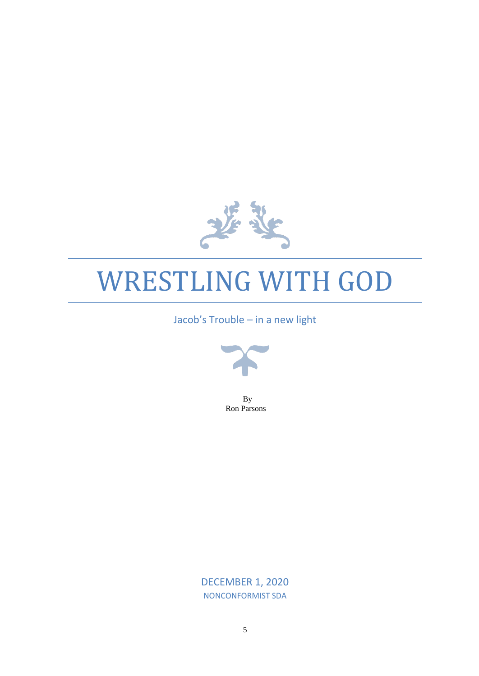

# WRESTLING WITH GOD

Jacob's Trouble – in a new light



By Ron Parsons

DECEMBER 1, 2020 NONCONFORMIST SDA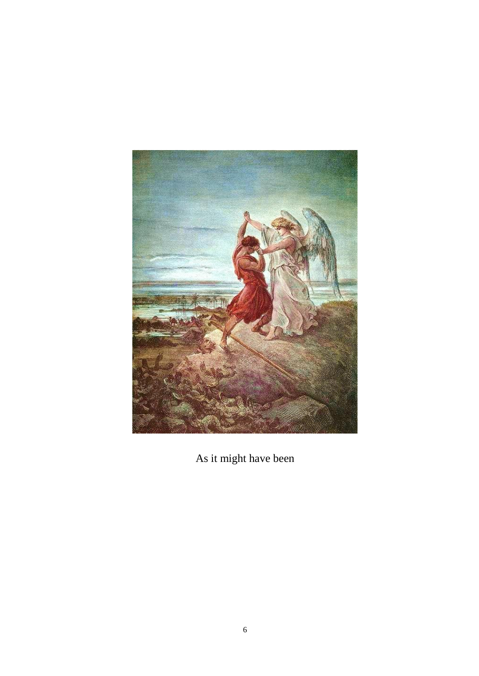

As it might have been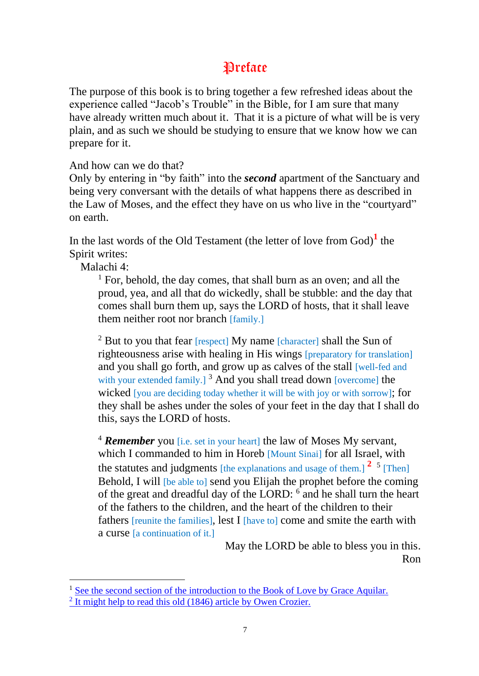# **Preface**

The purpose of this book is to bring together a few refreshed ideas about the experience called "Jacob's Trouble" in the Bible, for I am sure that many have already written much about it. That it is a picture of what will be is very plain, and as such we should be studying to ensure that we know how we can prepare for it.

#### And how can we do that?

Only by entering in "by faith" into the *second* apartment of the Sanctuary and being very conversant with the details of what happens there as described in the Law of Moses, and the effect they have on us who live in the "courtyard" on earth.

In the last words of the Old Testament (the letter of love from God)**<sup>1</sup>** the Spirit writes:

Malachi 4:

<sup>1</sup> For, behold, the day comes, that shall burn as an oven; and all the proud, yea, and all that do wickedly, shall be stubble: and the day that comes shall burn them up, says the LORD of hosts, that it shall leave them neither root nor branch [family.]

<sup>2</sup> But to you that fear [respect] My name [character] shall the Sun of righteousness arise with healing in His wings [preparatory for translation] and you shall go forth, and grow up as calves of the stall [well-fed and with your extended family.]<sup>3</sup> And you shall tread down [overcome] the wicked [you are deciding today whether it will be with joy or with sorrow]; for they shall be ashes under the soles of your feet in the day that I shall do this, says the LORD of hosts.

<sup>4</sup> *Remember* you [i.e. set in your heart] the law of Moses My servant, which I commanded to him in Horeb [Mount Sinai] for all Israel, with the statutes and judgments [the explanations and usage of them.] <sup>2</sup><sup>5</sup> [Then] Behold, I will [be able to] send you Elijah the prophet before the coming of the great and dreadful day of the LORD: <sup>6</sup> and he shall turn the heart of the fathers to the children, and the heart of the children to their fathers [reunite the families], lest I [have to] come and smite the earth with a curse [a continuation of it.]

May the LORD be able to bless you in this. Ron

<sup>&</sup>lt;sup>1</sup> See the second section of the introduction [to the Book of Love by Grace Aquilar.](https://ancient-sda.com/women_of_israel/introduction.html)

<sup>&</sup>lt;sup>2</sup> [It might help to read this old \(1846\) article](https://ancient-sda.com/crozier/crosier_revisited/egw_introduction.htm) by Owen Crozier.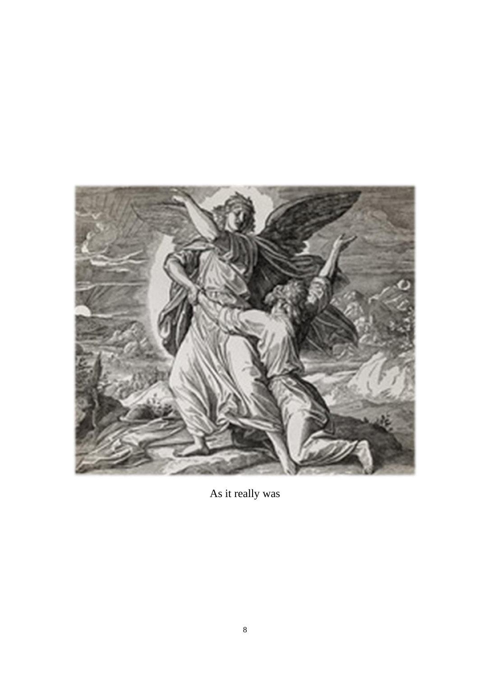

As it really was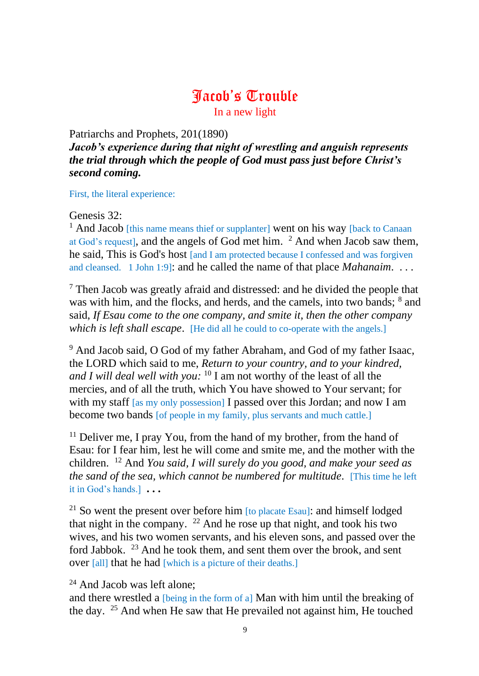# Jacob's Trouble In a new light

Patriarchs and Prophets, 201(1890)

*Jacob's experience during that night of wrestling and anguish represents the trial through which the people of God must pass just before Christ's second coming.* 

First, the literal experience:

Genesis 32:

<sup>1</sup> And Jacob [this name means thief or supplanter] went on his way [back to Canaan] at God's request], and the angels of God met him.  $^2$  And when Jacob saw them, he said, This is God's host [and I am protected because I confessed and was forgiven and cleansed. 1 John 1:9]: and he called the name of that place *Mahanaim*. . . .

<sup>7</sup> Then Jacob was greatly afraid and distressed: and he divided the people that was with him, and the flocks, and herds, and the camels, into two bands; <sup>8</sup> and said, *If Esau come to the one company, and smite it, then the other company which is left shall escape.* [He did all he could to co-operate with the angels.]

<sup>9</sup> And Jacob said, O God of my father Abraham, and God of my father Isaac, the LORD which said to me, *Return to your country, and to your kindred, and I will deal well with you:* <sup>10</sup> I am not worthy of the least of all the mercies, and of all the truth, which You have showed to Your servant; for with my staff [as my only possession] I passed over this Jordan; and now I am become two bands [of people in my family, plus servants and much cattle.]

 $11$  Deliver me, I pray You, from the hand of my brother, from the hand of Esau: for I fear him, lest he will come and smite me, and the mother with the children. <sup>12</sup> And *You said, I will surely do you good, and make your seed as the sand of the sea, which cannot be numbered for multitude.* This time he left it in God's hands.] **. . .**

<sup>21</sup> So went the present over before him  $[$  to placate Esau]: and himself lodged that night in the company.  $22$  And he rose up that night, and took his two wives, and his two women servants, and his eleven sons, and passed over the ford Jabbok. <sup>23</sup> And he took them, and sent them over the brook, and sent over [all] that he had [which is a picture of their deaths.]

 $24$  And Jacob was left alone:

and there wrestled a [being in the form of a] Man with him until the breaking of the day. <sup>25</sup> And when He saw that He prevailed not against him, He touched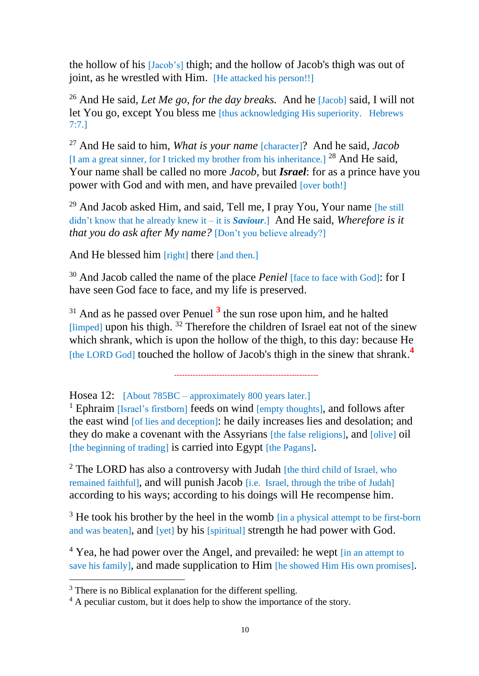the hollow of his [Jacob's] thigh; and the hollow of Jacob's thigh was out of joint, as he wrestled with Him. [He attacked his person!!]

<sup>26</sup> And He said, *Let Me go, for the day breaks.* And he [Jacob] said, I will not let You go, except You bless me [thus acknowledging His superiority. Hebrews 7:7.]

<sup>27</sup> And He said to him, *What is your name* [character]? And he said, *Jacob* [I am a great sinner, for I tricked my brother from his inheritance.]  $^{28}$  And He said, Your name shall be called no more *Jacob*, but *Israel*: for as a prince have you power with God and with men, and have prevailed [over both!]

 $29$  And Jacob asked Him, and said, Tell me, I pray You, Your name [he still] didn't know that he already knew it – it is *Saviour*.] And He said, *Wherefore is it that you do ask after My name?* [Don't you believe already?]

And He blessed him [right] there [and then.]

<sup>30</sup> And Jacob called the name of the place *Peniel* [face to face with God]: for I have seen God face to face, and my life is preserved.

<sup>31</sup> And as he passed over Penuel **<sup>3</sup>** the sun rose upon him, and he halted [limped] upon his thigh. <sup>32</sup> Therefore the children of Israel eat not of the sinew which shrank, which is upon the hollow of the thigh, to this day: because He [the LORD God] touched the hollow of Jacob's thigh in the sinew that shrank. **4**

------------------------------------------------------

Hosea 12: [About 785BC – approximately 800 years later.]

<sup>1</sup> Ephraim [Israel's firstborn] feeds on wind [empty thoughts], and follows after the east wind [of lies and deception]: he daily increases lies and desolation; and they do make a covenant with the Assyrians [the false religions], and [olive] oil [the beginning of trading] is carried into Egypt [the Pagans].

<sup>2</sup> The LORD has also a controversy with Judah [the third child of Israel, who remained faithful], and will punish Jacob [i.e. Israel, through the tribe of Judah] according to his ways; according to his doings will He recompense him.

<sup>3</sup> He took his brother by the heel in the womb [in a physical attempt to be first-born and was beaten], and [yet] by his [spiritual] strength he had power with God.

<sup>4</sup> Yea, he had power over the Angel, and prevailed: he wept *[in an attempt to*] save his family], and made supplication to Him [he showed Him His own promises].

<sup>&</sup>lt;sup>3</sup> There is no Biblical explanation for the different spelling.

 $<sup>4</sup>$  A peculiar custom, but it does help to show the importance of the story.</sup>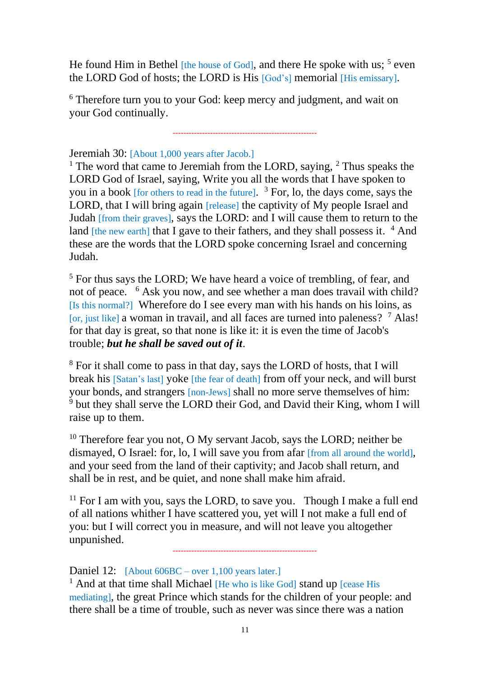He found Him in Bethel [the house of God], and there He spoke with us;  $5$  even the LORD God of hosts; the LORD is His [God's] memorial [His emissary].

<sup>6</sup> Therefore turn you to your God: keep mercy and judgment, and wait on your God continually.

------------------------------------------------------

Jeremiah 30: [About 1,000 years after Jacob.]

<sup>1</sup> The word that came to Jeremiah from the LORD, saying,  $2$  Thus speaks the LORD God of Israel, saying, Write you all the words that I have spoken to you in a book [for others to read in the future]. <sup>3</sup> For, lo, the days come, says the LORD, that I will bring again [release] the captivity of My people Israel and Judah [from their graves], says the LORD: and I will cause them to return to the land [the new earth] that I gave to their fathers, and they shall possess it. <sup>4</sup> And these are the words that the LORD spoke concerning Israel and concerning Judah.

<sup>5</sup> For thus says the LORD; We have heard a voice of trembling, of fear, and not of peace. <sup>6</sup> Ask you now, and see whether a man does travail with child? [Is this normal?] Wherefore do I see every man with his hands on his loins, as [or, just like] a woman in travail, and all faces are turned into paleness?  $^7$  Alas! for that day is great, so that none is like it: it is even the time of Jacob's trouble; *but he shall be saved out of it*.

<sup>8</sup> For it shall come to pass in that day, says the LORD of hosts, that I will break his [Satan's last] yoke [the fear of death] from off your neck, and will burst your bonds, and strangers [non-Jews] shall no more serve themselves of him:  $\frac{9}{9}$  but they shall serve the LORD their God, and David their King, whom I will raise up to them.

<sup>10</sup> Therefore fear you not, O My servant Jacob, says the LORD; neither be dismayed, O Israel: for, lo, I will save you from afar [from all around the world], and your seed from the land of their captivity; and Jacob shall return, and shall be in rest, and be quiet, and none shall make him afraid.

<sup>11</sup> For I am with you, says the LORD, to save you. Though I make a full end of all nations whither I have scattered you, yet will I not make a full end of you: but I will correct you in measure, and will not leave you altogether unpunished.

------------------------------------------------------

Daniel 12: [About 606BC – over 1,100 years later.]

<sup>1</sup> And at that time shall Michael [He who is like God] stand up [cease His mediating], the great Prince which stands for the children of your people: and there shall be a time of trouble, such as never was since there was a nation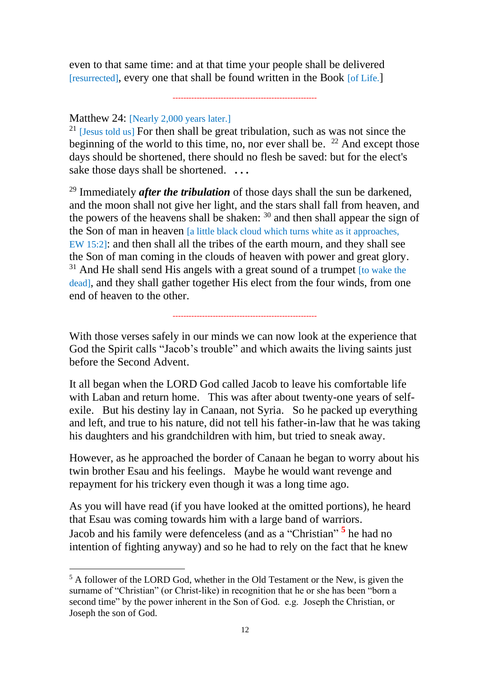even to that same time: and at that time your people shall be delivered [resurrected], every one that shall be found written in the Book [of Life.]

------------------------------------------------------

#### Matthew 24: [Nearly 2,000 years later.]

 $21$  [Jesus told us] For then shall be great tribulation, such as was not since the beginning of the world to this time, no, nor ever shall be.  $22$  And except those days should be shortened, there should no flesh be saved: but for the elect's sake those days shall be shortened. **. . .**

<sup>29</sup> Immediately *after the tribulation* of those days shall the sun be darkened, and the moon shall not give her light, and the stars shall fall from heaven, and the powers of the heavens shall be shaken: <sup>30</sup> and then shall appear the sign of the Son of man in heaven [a little black cloud which turns white as it approaches, EW 15:2]: and then shall all the tribes of the earth mourn, and they shall see the Son of man coming in the clouds of heaven with power and great glory.  $31$  And He shall send His angels with a great sound of a trumpet  $\lceil$  to wake the dead], and they shall gather together His elect from the four winds, from one end of heaven to the other.

With those verses safely in our minds we can now look at the experience that God the Spirit calls "Jacob's trouble" and which awaits the living saints just before the Second Advent.

------------------------------------------------------

It all began when the LORD God called Jacob to leave his comfortable life with Laban and return home. This was after about twenty-one years of selfexile. But his destiny lay in Canaan, not Syria. So he packed up everything and left, and true to his nature, did not tell his father-in-law that he was taking his daughters and his grandchildren with him, but tried to sneak away.

However, as he approached the border of Canaan he began to worry about his twin brother Esau and his feelings. Maybe he would want revenge and repayment for his trickery even though it was a long time ago.

As you will have read (if you have looked at the omitted portions), he heard that Esau was coming towards him with a large band of warriors. Jacob and his family were defenceless (and as a "Christian" **5** he had no intention of fighting anyway) and so he had to rely on the fact that he knew

<sup>&</sup>lt;sup>5</sup> A follower of the LORD God, whether in the Old Testament or the New, is given the surname of "Christian" (or Christ-like) in recognition that he or she has been "born a second time" by the power inherent in the Son of God. e.g. Joseph the Christian, or Joseph the son of God.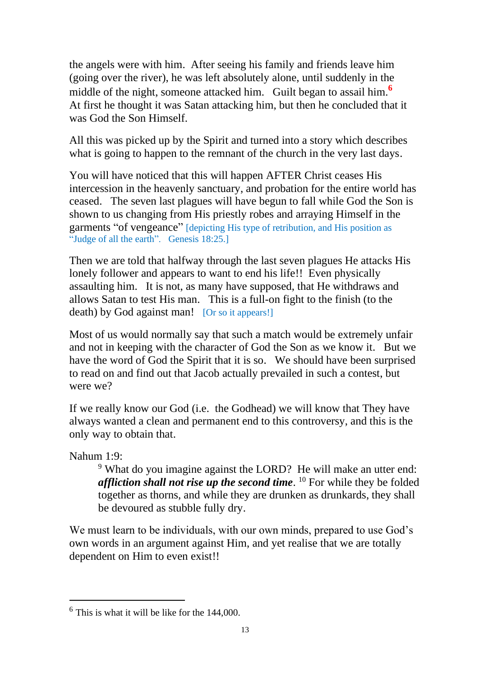the angels were with him. After seeing his family and friends leave him (going over the river), he was left absolutely alone, until suddenly in the middle of the night, someone attacked him. Guilt began to assail him.**<sup>6</sup>** At first he thought it was Satan attacking him, but then he concluded that it was God the Son Himself.

All this was picked up by the Spirit and turned into a story which describes what is going to happen to the remnant of the church in the very last days.

You will have noticed that this will happen AFTER Christ ceases His intercession in the heavenly sanctuary, and probation for the entire world has ceased. The seven last plagues will have begun to fall while God the Son is shown to us changing from His priestly robes and arraying Himself in the garments "of vengeance" [depicting His type of retribution, and His position as "Judge of all the earth". Genesis 18:25.]

Then we are told that halfway through the last seven plagues He attacks His lonely follower and appears to want to end his life!! Even physically assaulting him. It is not, as many have supposed, that He withdraws and allows Satan to test His man. This is a full-on fight to the finish (to the death) by God against man! [Or so it appears!]

Most of us would normally say that such a match would be extremely unfair and not in keeping with the character of God the Son as we know it. But we have the word of God the Spirit that it is so. We should have been surprised to read on and find out that Jacob actually prevailed in such a contest, but were we?

If we really know our God (i.e. the Godhead) we will know that They have always wanted a clean and permanent end to this controversy, and this is the only way to obtain that.

Nahum 1:9:

<sup>9</sup> What do you imagine against the LORD? He will make an utter end: *affliction shall not rise up the second time*. <sup>10</sup> For while they be folded together as thorns, and while they are drunken as drunkards, they shall be devoured as stubble fully dry.

We must learn to be individuals, with our own minds, prepared to use God's own words in an argument against Him, and yet realise that we are totally dependent on Him to even exist!!

 $6$  This is what it will be like for the 144,000.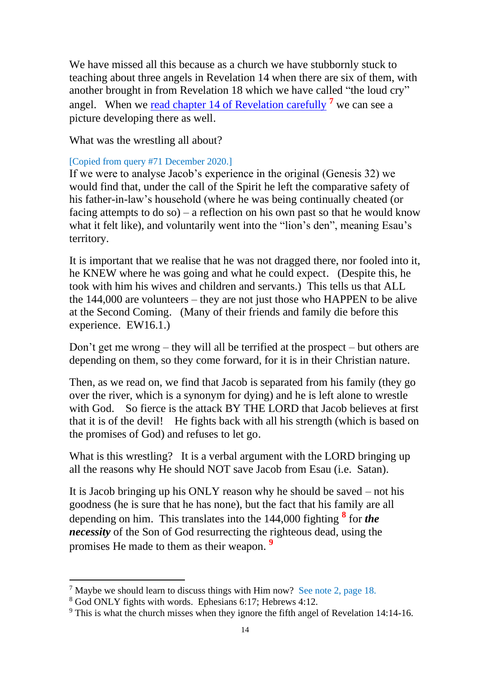We have missed all this because as a church we have stubbornly stuck to teaching about three angels in Revelation 14 when there are six of them, with another brought in from Revelation 18 which we have called "the loud cry" angel. When we read chapter 14 [of Revelation carefully](https://ancient-sda.com/modernised_bible_chapters/revelation_14_seven_angels.pdf)  $^7$  we can see a picture developing there as well.

What was the wrestling all about?

#### [Copied from query #71 December 2020.]

If we were to analyse Jacob's experience in the original (Genesis 32) we would find that, under the call of the Spirit he left the comparative safety of his father-in-law's household (where he was being continually cheated (or facing attempts to do so) – a reflection on his own past so that he would know what it felt like), and voluntarily went into the "lion's den", meaning Esau's territory.

It is important that we realise that he was not dragged there, nor fooled into it, he KNEW where he was going and what he could expect. (Despite this, he took with him his wives and children and servants.) This tells us that ALL the 144,000 are volunteers – they are not just those who HAPPEN to be alive at the Second Coming. (Many of their friends and family die before this experience. EW16.1.)

Don't get me wrong – they will all be terrified at the prospect – but others are depending on them, so they come forward, for it is in their Christian nature.

Then, as we read on, we find that Jacob is separated from his family (they go over the river, which is a synonym for dying) and he is left alone to wrestle with God. So fierce is the attack BY THE LORD that Jacob believes at first that it is of the devil! He fights back with all his strength (which is based on the promises of God) and refuses to let go.

What is this wrestling? It is a verbal argument with the LORD bringing up all the reasons why He should NOT save Jacob from Esau (i.e. Satan).

It is Jacob bringing up his ONLY reason why he should be saved – not his goodness (he is sure that he has none), but the fact that his family are all depending on him. This translates into the 144,000 fighting **<sup>8</sup>** for *the necessity* of the Son of God resurrecting the righteous dead, using the promises He made to them as their weapon. **9**

<sup>&</sup>lt;sup>7</sup> Maybe we should learn to discuss things with Him now? See note 2, page 18.

<sup>8</sup> God ONLY fights with words. Ephesians 6:17; Hebrews 4:12.

<sup>&</sup>lt;sup>9</sup> This is what the church misses when they ignore the fifth angel of Revelation 14:14-16.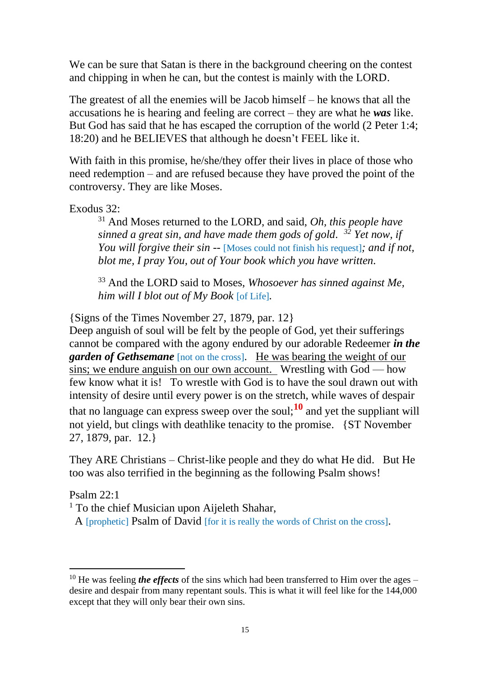We can be sure that Satan is there in the background cheering on the contest and chipping in when he can, but the contest is mainly with the LORD.

The greatest of all the enemies will be Jacob himself – he knows that all the accusations he is hearing and feeling are correct – they are what he *was* like. But God has said that he has escaped the corruption of the world (2 Peter 1:4; 18:20) and he BELIEVES that although he doesn't FEEL like it.

With faith in this promise, he/she/they offer their lives in place of those who need redemption – and are refused because they have proved the point of the controversy. They are like Moses.

Exodus 32:

<sup>31</sup> And Moses returned to the LORD, and said, *Oh, this people have sinned a great sin, and have made them gods of gold. <sup>32</sup> Yet now, if You will forgive their sin --* [Moses could not finish his request]*; and if not, blot me, I pray You, out of Your book which you have written.* 

<sup>33</sup> And the LORD said to Moses, *Whosoever has sinned against Me, him will I blot out of My Book* [of Life]*.* 

{Signs of the Times November 27, 1879, par. 12}

Deep anguish of soul will be felt by the people of God, yet their sufferings cannot be compared with the agony endured by our adorable Redeemer *in the*  **garden of Gethsemane** [not on the cross]. He was bearing the weight of our sins; we endure anguish on our own account. Wrestling with God — how few know what it is! To wrestle with God is to have the soul drawn out with intensity of desire until every power is on the stretch, while waves of despair that no language can express sweep over the soul;**<sup>10</sup>** and yet the suppliant will not yield, but clings with deathlike tenacity to the promise. {ST November 27, 1879, par. 12.}

They ARE Christians – Christ-like people and they do what He did. But He too was also terrified in the beginning as the following Psalm shows!

Psalm 22:1

<sup>1</sup> To the chief Musician upon Aijeleth Shahar,

A [prophetic] Psalm of David [for it is really the words of Christ on the cross].

<sup>&</sup>lt;sup>10</sup> He was feeling *the effects* of the sins which had been transferred to Him over the ages – desire and despair from many repentant souls. This is what it will feel like for the 144,000 except that they will only bear their own sins.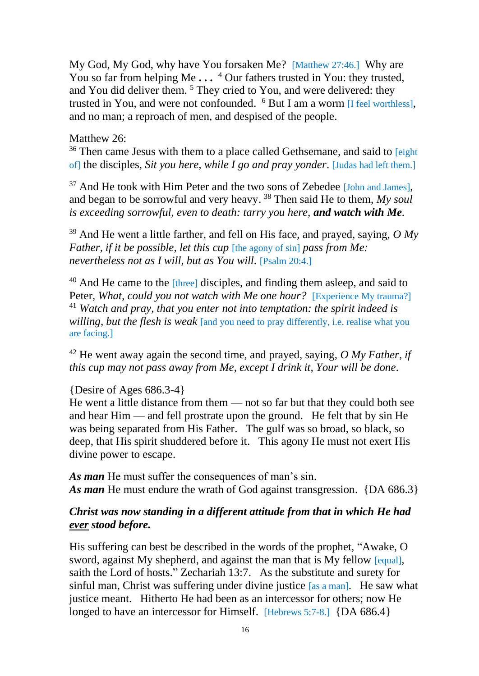My God, My God, why have You forsaken Me? [Matthew 27:46.] Why are You so far from helping Me  $\ldots$ <sup>4</sup> Our fathers trusted in You: they trusted, and You did deliver them.<sup>5</sup> They cried to You, and were delivered: they trusted in You, and were not confounded. <sup>6</sup> But I am a worm [I feel worthless], and no man; a reproach of men, and despised of the people.

#### Matthew 26:

 $36$  Then came Jesus with them to a place called Gethsemane, and said to  $[$ eight of] the disciples, *Sit you here, while I go and pray yonder*. [Judas had left them.]

<sup>37</sup> And He took with Him Peter and the two sons of Zebedee [John and James], and began to be sorrowful and very heavy. <sup>38</sup> Then said He to them, *My soul is exceeding sorrowful, even to death: tarry you here, and watch with Me.*

<sup>39</sup> And He went a little farther, and fell on His face, and prayed, saying, *O My Father, if it be possible, let this cup* [the agony of sin] *pass from Me: nevertheless not as I will, but as You will.* [Psalm 20:4.]

 $40$  And He came to the [three] disciples, and finding them asleep, and said to Peter, *What, could you not watch with Me one hour?* [Experience My trauma?] <sup>41</sup> *Watch and pray, that you enter not into temptation: the spirit indeed is willing, but the flesh is weak* [and you need to pray differently, i.e. realise what you are facing.]

<sup>42</sup> He went away again the second time, and prayed, saying, *O My Father, if this cup may not pass away from Me, except I drink it, Your will be done.* 

{Desire of Ages 686.3-4}

He went a little distance from them — not so far but that they could both see and hear Him — and fell prostrate upon the ground. He felt that by sin He was being separated from His Father. The gulf was so broad, so black, so deep, that His spirit shuddered before it. This agony He must not exert His divine power to escape.

*As man* He must suffer the consequences of man's sin. As man He must endure the wrath of God against transgression. {DA 686.3}

# *Christ was now standing in a different attitude from that in which He had ever stood before.*

His suffering can best be described in the words of the prophet, "Awake, O sword, against My shepherd, and against the man that is My fellow [equal], saith the Lord of hosts." Zechariah 13:7. As the substitute and surety for sinful man, Christ was suffering under divine justice [as a man]. He saw what justice meant. Hitherto He had been as an intercessor for others; now He longed to have an intercessor for Himself. [Hebrews 5:7-8.] {DA 686.4}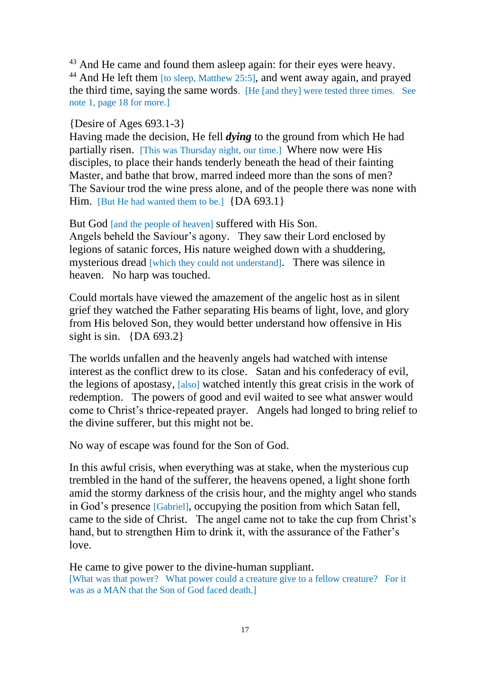<sup>43</sup> And He came and found them asleep again: for their eyes were heavy. <sup>44</sup> And He left them [to sleep, Matthew 25:5], and went away again, and prayed the third time, saying the same words. [He [and they] were tested three times. See note 1, page 18 for more.]

### {Desire of Ages 693.1-3}

Having made the decision, He fell *dying* to the ground from which He had partially risen. [This was Thursday night, our time.] Where now were His disciples, to place their hands tenderly beneath the head of their fainting Master, and bathe that brow, marred indeed more than the sons of men? The Saviour trod the wine press alone, and of the people there was none with Him. [But He had wanted them to be.]  $\{DA 693.1\}$ 

But God [and the people of heaven] suffered with His Son. Angels beheld the Saviour's agony. They saw their Lord enclosed by legions of satanic forces, His nature weighed down with a shuddering, mysterious dread [which they could not understand]. There was silence in heaven. No harp was touched.

Could mortals have viewed the amazement of the angelic host as in silent grief they watched the Father separating His beams of light, love, and glory from His beloved Son, they would better understand how offensive in His sight is sin.  $\{DA 693.2\}$ 

The worlds unfallen and the heavenly angels had watched with intense interest as the conflict drew to its close. Satan and his confederacy of evil, the legions of apostasy, [also] watched intently this great crisis in the work of redemption. The powers of good and evil waited to see what answer would come to Christ's thrice-repeated prayer. Angels had longed to bring relief to the divine sufferer, but this might not be.

No way of escape was found for the Son of God.

In this awful crisis, when everything was at stake, when the mysterious cup trembled in the hand of the sufferer, the heavens opened, a light shone forth amid the stormy darkness of the crisis hour, and the mighty angel who stands in God's presence [Gabriel], occupying the position from which Satan fell, came to the side of Christ. The angel came not to take the cup from Christ's hand, but to strengthen Him to drink it, with the assurance of the Father's love.

He came to give power to the divine-human suppliant. [What was that power? What power could a creature give to a fellow creature? For it was as a MAN that the Son of God faced death.]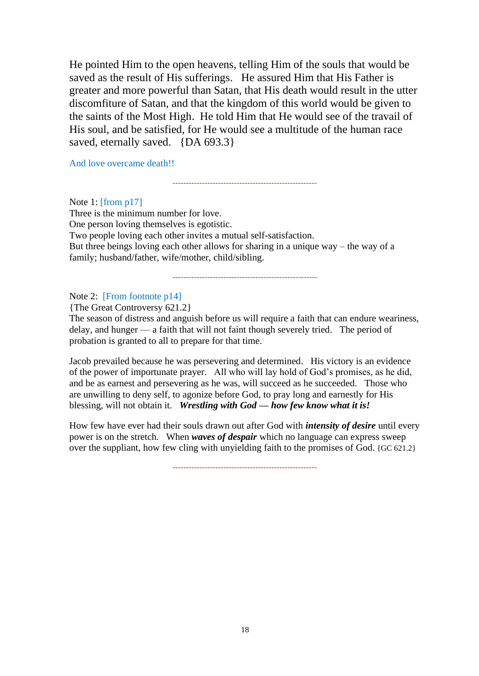He pointed Him to the open heavens, telling Him of the souls that would be saved as the result of His sufferings. He assured Him that His Father is greater and more powerful than Satan, that His death would result in the utter discomfiture of Satan, and that the kingdom of this world would be given to the saints of the Most High. He told Him that He would see of the travail of His soul, and be satisfied, for He would see a multitude of the human race saved, eternally saved. {DA 693.3}

------------------------------------------------------

And love overcame death!!

Note 1: [from p17] Three is the minimum number for love. One person loving themselves is egotistic. Two people loving each other invites a mutual self-satisfaction. But three beings loving each other allows for sharing in a unique way – the way of a family; husband/father, wife/mother, child/sibling.

------------------------------------------------------

Note 2: [From footnote p14]

{The Great Controversy 621.2}

The season of distress and anguish before us will require a faith that can endure weariness, delay, and hunger — a faith that will not faint though severely tried. The period of probation is granted to all to prepare for that time.

Jacob prevailed because he was persevering and determined. His victory is an evidence of the power of importunate prayer. All who will lay hold of God's promises, as he did, and be as earnest and persevering as he was, will succeed as he succeeded. Those who are unwilling to deny self, to agonize before God, to pray long and earnestly for His blessing, will not obtain it. *Wrestling with God — how few know what it is!* 

How few have ever had their souls drawn out after God with *intensity of desire* until every power is on the stretch. When *waves of despair* which no language can express sweep over the suppliant, how few cling with unyielding faith to the promises of God. {GC 621.2}

------------------------------------------------------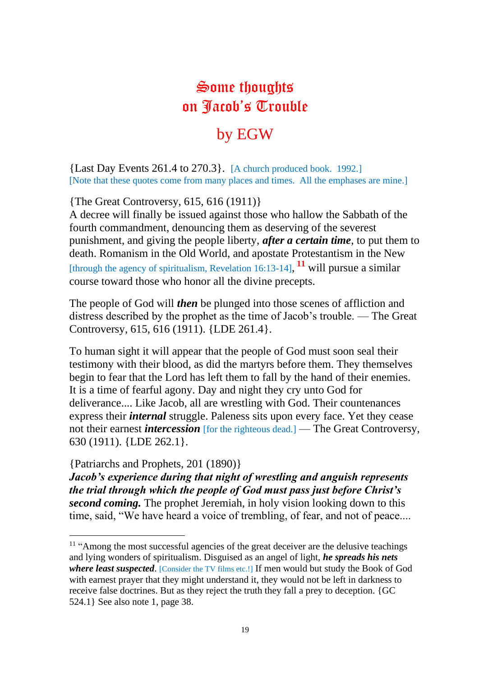# Some thoughts on Jacob's Trouble

# by EGW

{Last Day Events 261.4 to 270.3}. [A church produced book. 1992.] [Note that these quotes come from many places and times. All the emphases are mine.]

{The Great Controversy, 615, 616 (1911)}

A decree will finally be issued against those who hallow the Sabbath of the fourth commandment, denouncing them as deserving of the severest punishment, and giving the people liberty, *after a certain time*, to put them to death. Romanism in the Old World, and apostate Protestantism in the New [through the agency of spiritualism, Revelation 16:13-14], **<sup>11</sup>** will pursue a similar course toward those who honor all the divine precepts.

The people of God will *then* be plunged into those scenes of affliction and distress described by the prophet as the time of Jacob's trouble. — The Great Controversy, 615, 616 (1911). {LDE 261.4}.

To human sight it will appear that the people of God must soon seal their testimony with their blood, as did the martyrs before them. They themselves begin to fear that the Lord has left them to fall by the hand of their enemies. It is a time of fearful agony. Day and night they cry unto God for deliverance.... Like Jacob, all are wrestling with God. Their countenances express their *internal* struggle. Paleness sits upon every face. Yet they cease not their earnest *intercession* [for the righteous dead.] — The Great Controversy, 630 (1911). {LDE 262.1}.

# {Patriarchs and Prophets, 201 (1890)}

*Jacob's experience during that night of wrestling and anguish represents the trial through which the people of God must pass just before Christ's second coming.* The prophet Jeremiah, in holy vision looking down to this time, said, "We have heard a voice of trembling, of fear, and not of peace....

<sup>&</sup>lt;sup>11</sup> "Among the most successful agencies of the great deceiver are the delusive teachings and lying wonders of spiritualism. Disguised as an angel of light, *he spreads his nets where least suspected.* [Consider the TV films etc.!] If men would but study the Book of God with earnest prayer that they might understand it, they would not be left in darkness to receive false doctrines. But as they reject the truth they fall a prey to deception. {GC 524.1} See also note 1, page 38.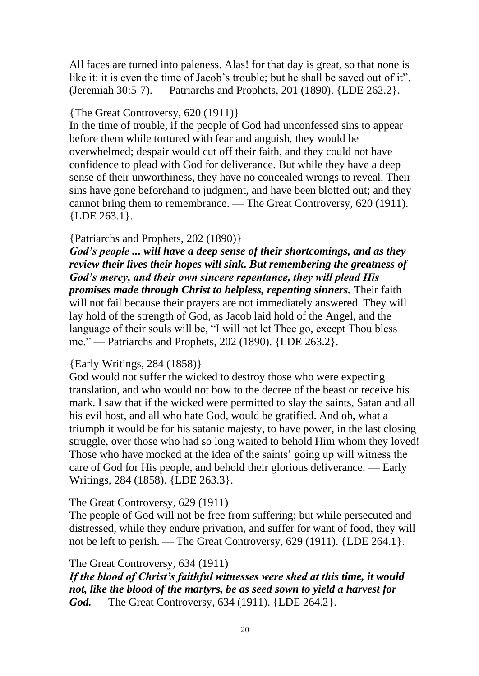All faces are turned into paleness. Alas! for that day is great, so that none is like it: it is even the time of Jacob's trouble; but he shall be saved out of it". (Jeremiah 30:5-7). — Patriarchs and Prophets, 201 (1890). {LDE 262.2}.

#### {The Great Controversy, 620 (1911)}

In the time of trouble, if the people of God had unconfessed sins to appear before them while tortured with fear and anguish, they would be overwhelmed; despair would cut off their faith, and they could not have confidence to plead with God for deliverance. But while they have a deep sense of their unworthiness, they have no concealed wrongs to reveal. Their sins have gone beforehand to judgment, and have been blotted out; and they cannot bring them to remembrance. — The Great Controversy, 620 (1911). {LDE 263.1}.

# {Patriarchs and Prophets, 202 (1890)}

*God's people ... will have a deep sense of their shortcomings, and as they review their lives their hopes will sink. But remembering the greatness of God's mercy, and their own sincere repentance, they will plead His promises made through Christ to helpless, repenting sinners.* Their faith will not fail because their prayers are not immediately answered. They will lay hold of the strength of God, as Jacob laid hold of the Angel, and the language of their souls will be, "I will not let Thee go, except Thou bless me." — Patriarchs and Prophets, 202 (1890). {LDE 263.2}.

# {Early Writings, 284 (1858)}

God would not suffer the wicked to destroy those who were expecting translation, and who would not bow to the decree of the beast or receive his mark. I saw that if the wicked were permitted to slay the saints, Satan and all his evil host, and all who hate God, would be gratified. And oh, what a triumph it would be for his satanic majesty, to have power, in the last closing struggle, over those who had so long waited to behold Him whom they loved! Those who have mocked at the idea of the saints' going up will witness the care of God for His people, and behold their glorious deliverance. — Early Writings, 284 (1858). {LDE 263.3}.

# The Great Controversy, 629 (1911)

The people of God will not be free from suffering; but while persecuted and distressed, while they endure privation, and suffer for want of food, they will not be left to perish. — The Great Controversy, 629 (1911). {LDE 264.1}.

# The Great Controversy, 634 (1911)

*If the blood of Christ's faithful witnesses were shed at this time, it would not, like the blood of the martyrs, be as seed sown to yield a harvest for God.* — The Great Controversy, 634 (1911). {LDE 264.2}.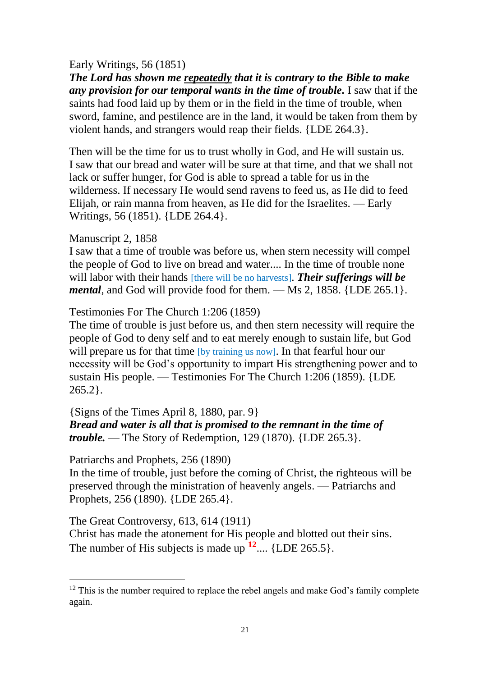#### Early Writings, 56 (1851)

*The Lord has shown me repeatedly that it is contrary to the Bible to make any provision for our temporal wants in the time of trouble.* I saw that if the saints had food laid up by them or in the field in the time of trouble, when sword, famine, and pestilence are in the land, it would be taken from them by violent hands, and strangers would reap their fields. {LDE 264.3}.

Then will be the time for us to trust wholly in God, and He will sustain us. I saw that our bread and water will be sure at that time, and that we shall not lack or suffer hunger, for God is able to spread a table for us in the wilderness. If necessary He would send ravens to feed us, as He did to feed Elijah, or rain manna from heaven, as He did for the Israelites. — Early Writings, 56 (1851). {LDE 264.4}.

#### Manuscript 2, 1858

I saw that a time of trouble was before us, when stern necessity will compel the people of God to live on bread and water.... In the time of trouble none will labor with their hands *[there will be no harvests]*. *Their sufferings will be mental*, and God will provide food for them. — Ms 2, 1858. {LDE 265.1}.

Testimonies For The Church 1:206 (1859)

The time of trouble is just before us, and then stern necessity will require the people of God to deny self and to eat merely enough to sustain life, but God will prepare us for that time [by training us now]. In that fearful hour our necessity will be God's opportunity to impart His strengthening power and to sustain His people. — Testimonies For The Church 1:206 (1859). {LDE 265.2}.

{Signs of the Times April 8, 1880, par. 9} *Bread and water is all that is promised to the remnant in the time of trouble.* — The Story of Redemption, 129 (1870). {LDE 265.3}.

Patriarchs and Prophets, 256 (1890)

In the time of trouble, just before the coming of Christ, the righteous will be preserved through the ministration of heavenly angels. — Patriarchs and Prophets, 256 (1890). {LDE 265.4}.

The Great Controversy, 613, 614 (1911)

Christ has made the atonement for His people and blotted out their sins. The number of His subjects is made up  $12$ ....  ${LDE 265.5}$ .

<sup>&</sup>lt;sup>12</sup> This is the number required to replace the rebel angels and make God's family complete again.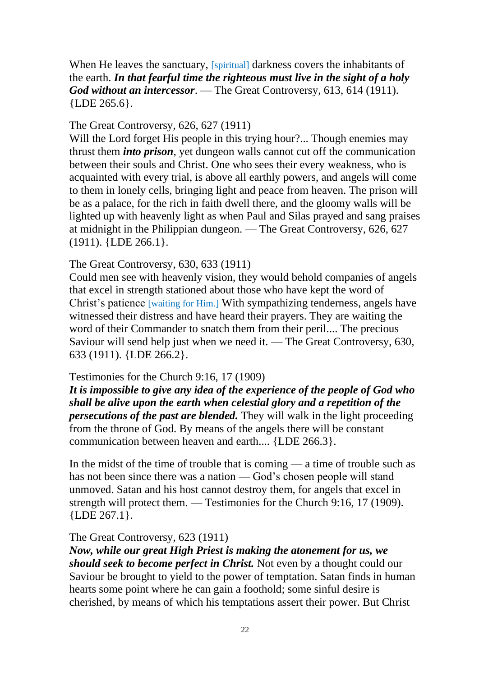When He leaves the sanctuary, [spiritual] darkness covers the inhabitants of the earth. *In that fearful time the righteous must live in the sight of a holy God without an intercessor*. — The Great Controversy, 613, 614 (1911). {LDE 265.6}.

#### The Great Controversy, 626, 627 (1911)

Will the Lord forget His people in this trying hour?... Though enemies may thrust them *into prison*, yet dungeon walls cannot cut off the communication between their souls and Christ. One who sees their every weakness, who is acquainted with every trial, is above all earthly powers, and angels will come to them in lonely cells, bringing light and peace from heaven. The prison will be as a palace, for the rich in faith dwell there, and the gloomy walls will be lighted up with heavenly light as when Paul and Silas prayed and sang praises at midnight in the Philippian dungeon. — The Great Controversy, 626, 627 (1911). {LDE 266.1}.

#### The Great Controversy, 630, 633 (1911)

Could men see with heavenly vision, they would behold companies of angels that excel in strength stationed about those who have kept the word of Christ's patience [waiting for Him.] With sympathizing tenderness, angels have witnessed their distress and have heard their prayers. They are waiting the word of their Commander to snatch them from their peril.... The precious Saviour will send help just when we need it. — The Great Controversy, 630, 633 (1911). {LDE 266.2}.

#### Testimonies for the Church 9:16, 17 (1909)

*It is impossible to give any idea of the experience of the people of God who shall be alive upon the earth when celestial glory and a repetition of the persecutions of the past are blended.* They will walk in the light proceeding from the throne of God. By means of the angels there will be constant communication between heaven and earth.... {LDE 266.3}.

In the midst of the time of trouble that is coming — a time of trouble such as has not been since there was a nation — God's chosen people will stand unmoved. Satan and his host cannot destroy them, for angels that excel in strength will protect them. — Testimonies for the Church 9:16, 17 (1909). {LDE 267.1}.

#### The Great Controversy, 623 (1911)

*Now, while our great High Priest is making the atonement for us, we should seek to become perfect in Christ.* Not even by a thought could our Saviour be brought to yield to the power of temptation. Satan finds in human hearts some point where he can gain a foothold; some sinful desire is cherished, by means of which his temptations assert their power. But Christ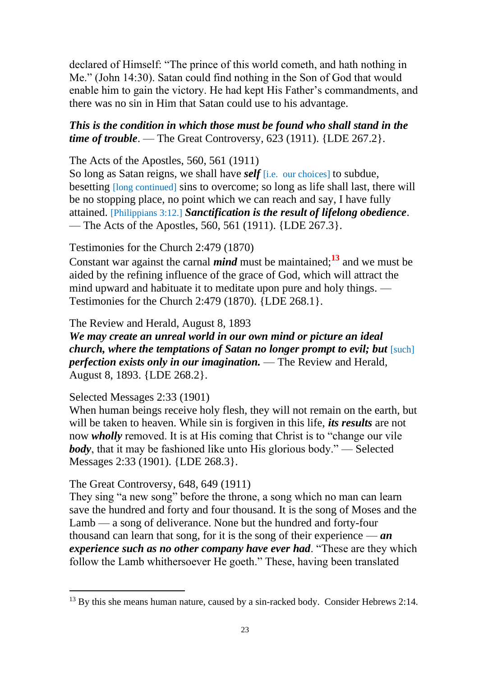declared of Himself: "The prince of this world cometh, and hath nothing in Me." (John 14:30). Satan could find nothing in the Son of God that would enable him to gain the victory. He had kept His Father's commandments, and there was no sin in Him that Satan could use to his advantage.

### *This is the condition in which those must be found who shall stand in the time of trouble*. — The Great Controversy, 623 (1911). {LDE 267.2}.

The Acts of the Apostles, 560, 561 (1911)

So long as Satan reigns, we shall have *self* [i.e. our choices] to subdue, besetting [long continued] sins to overcome; so long as life shall last, there will be no stopping place, no point which we can reach and say, I have fully attained. [Philippians 3:12.] *Sanctification is the result of lifelong obedience*. — The Acts of the Apostles, 560, 561 (1911). {LDE 267.3}.

Testimonies for the Church 2:479 (1870)

Constant war against the carnal *mind* must be maintained;**<sup>13</sup>** and we must be aided by the refining influence of the grace of God, which will attract the mind upward and habituate it to meditate upon pure and holy things. — Testimonies for the Church 2:479 (1870). {LDE 268.1}.

The Review and Herald, August 8, 1893

*We may create an unreal world in our own mind or picture an ideal church, where the temptations of Satan no longer prompt to evil; but* [such] *perfection exists only in our imagination.* — The Review and Herald, August 8, 1893. {LDE 268.2}.

Selected Messages 2:33 (1901)

When human beings receive holy flesh, they will not remain on the earth, but will be taken to heaven. While sin is forgiven in this life, *its results* are not now *wholly* removed. It is at His coming that Christ is to "change our vile *body*, that it may be fashioned like unto His glorious body." — Selected Messages 2:33 (1901). {LDE 268.3}.

The Great Controversy, 648, 649 (1911)

They sing "a new song" before the throne, a song which no man can learn save the hundred and forty and four thousand. It is the song of Moses and the Lamb — a song of deliverance. None but the hundred and forty-four thousand can learn that song, for it is the song of their experience — *an experience such as no other company have ever had*. "These are they which follow the Lamb whithersoever He goeth." These, having been translated

<sup>&</sup>lt;sup>13</sup> By this she means human nature, caused by a sin-racked body. Consider Hebrews 2:14.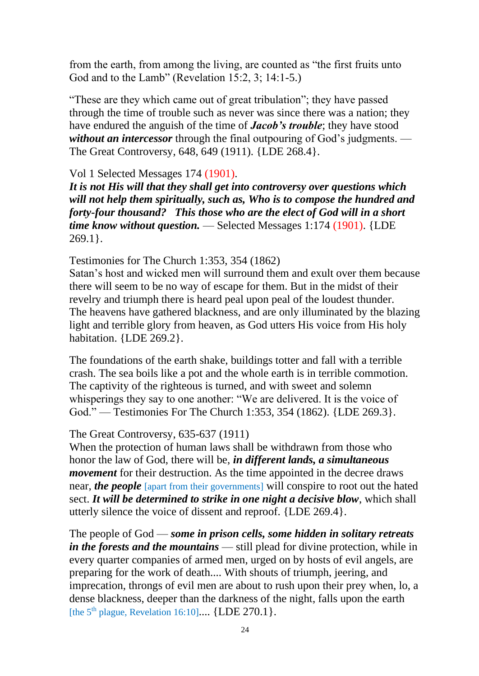from the earth, from among the living, are counted as "the first fruits unto God and to the Lamb" (Revelation 15:2, 3; 14:1-5.)

"These are they which came out of great tribulation"; they have passed through the time of trouble such as never was since there was a nation; they have endured the anguish of the time of *Jacob's trouble*; they have stood *without an intercessor* through the final outpouring of God's judgments. — The Great Controversy, 648, 649 (1911). {LDE 268.4}.

#### Vol 1 Selected Messages 174 (1901).

*It is not His will that they shall get into controversy over questions which will not help them spiritually, such as, Who is to compose the hundred and forty-four thousand? This those who are the elect of God will in a short time know without question.* — Selected Messages 1:174 (1901). {LDE 269.1}.

Testimonies for The Church 1:353, 354 (1862)

Satan's host and wicked men will surround them and exult over them because there will seem to be no way of escape for them. But in the midst of their revelry and triumph there is heard peal upon peal of the loudest thunder. The heavens have gathered blackness, and are only illuminated by the blazing light and terrible glory from heaven, as God utters His voice from His holy habitation. {LDE 269.2}.

The foundations of the earth shake, buildings totter and fall with a terrible crash. The sea boils like a pot and the whole earth is in terrible commotion. The captivity of the righteous is turned, and with sweet and solemn whisperings they say to one another: "We are delivered. It is the voice of God." — Testimonies For The Church 1:353, 354 (1862). {LDE 269.3}.

#### The Great Controversy, 635-637 (1911)

When the protection of human laws shall be withdrawn from those who honor the law of God, there will be, *in different lands, a simultaneous movement* for their destruction. As the time appointed in the decree draws near, *the people* [apart from their governments] will conspire to root out the hated sect. *It will be determined to strike in one night a decisive blow*, which shall utterly silence the voice of dissent and reproof. {LDE 269.4}.

The people of God — *some in prison cells, some hidden in solitary retreats in the forests and the mountains* — still plead for divine protection, while in every quarter companies of armed men, urged on by hosts of evil angels, are preparing for the work of death.... With shouts of triumph, jeering, and imprecation, throngs of evil men are about to rush upon their prey when, lo, a dense blackness, deeper than the darkness of the night, falls upon the earth [the  $5<sup>th</sup>$  plague, Revelation 16:10]....  ${LDE\ 270.1}.$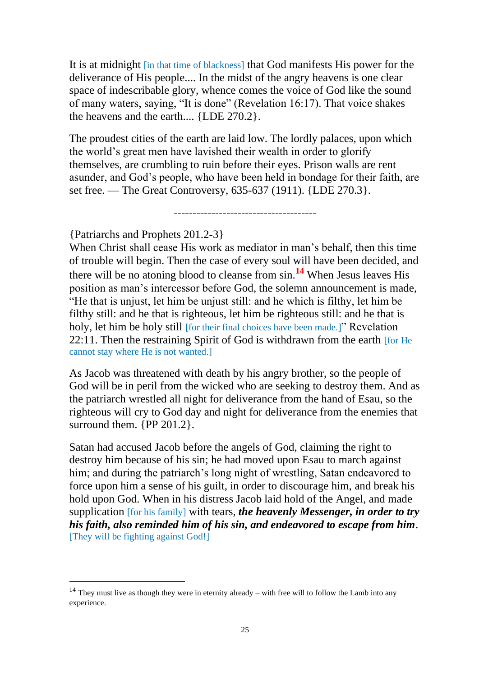It is at midnight [in that time of blackness] that God manifests His power for the deliverance of His people.... In the midst of the angry heavens is one clear space of indescribable glory, whence comes the voice of God like the sound of many waters, saying, "It is done" (Revelation 16:17). That voice shakes the heavens and the earth.... {LDE 270.2}.

The proudest cities of the earth are laid low. The lordly palaces, upon which the world's great men have lavished their wealth in order to glorify themselves, are crumbling to ruin before their eyes. Prison walls are rent asunder, and God's people, who have been held in bondage for their faith, are set free. — The Great Controversy, 635-637 (1911). {LDE 270.3}.

--------------------------------------

{Patriarchs and Prophets 201.2-3}

When Christ shall cease His work as mediator in man's behalf, then this time of trouble will begin. Then the case of every soul will have been decided, and there will be no atoning blood to cleanse from sin.**<sup>14</sup>** When Jesus leaves His position as man's intercessor before God, the solemn announcement is made, "He that is unjust, let him be unjust still: and he which is filthy, let him be filthy still: and he that is righteous, let him be righteous still: and he that is holy, let him be holy still [for their final choices have been made.]" Revelation 22:11. Then the restraining Spirit of God is withdrawn from the earth [for He cannot stay where He is not wanted.]

As Jacob was threatened with death by his angry brother, so the people of God will be in peril from the wicked who are seeking to destroy them. And as the patriarch wrestled all night for deliverance from the hand of Esau, so the righteous will cry to God day and night for deliverance from the enemies that surround them. {PP 201.2}.

Satan had accused Jacob before the angels of God, claiming the right to destroy him because of his sin; he had moved upon Esau to march against him; and during the patriarch's long night of wrestling, Satan endeavored to force upon him a sense of his guilt, in order to discourage him, and break his hold upon God. When in his distress Jacob laid hold of the Angel, and made supplication [for his family] with tears, *the heavenly Messenger, in order to try his faith, also reminded him of his sin, and endeavored to escape from him*. [They will be fighting against God!]

 $14$  They must live as though they were in eternity already – with free will to follow the Lamb into any experience.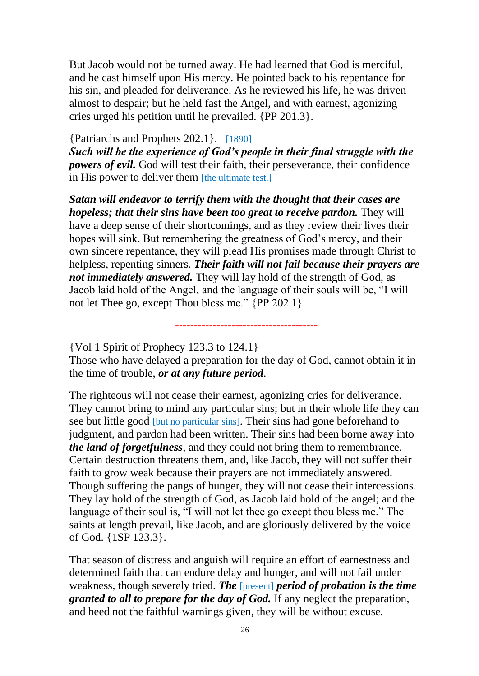But Jacob would not be turned away. He had learned that God is merciful, and he cast himself upon His mercy. He pointed back to his repentance for his sin, and pleaded for deliverance. As he reviewed his life, he was driven almost to despair; but he held fast the Angel, and with earnest, agonizing cries urged his petition until he prevailed. {PP 201.3}.

#### {Patriarchs and Prophets 202.1}. [1890]

*Such will be the experience of God's people in their final struggle with the powers of evil.* God will test their faith, their perseverance, their confidence in His power to deliver them [the ultimate test.]

*Satan will endeavor to terrify them with the thought that their cases are hopeless; that their sins have been too great to receive pardon.* They will have a deep sense of their shortcomings, and as they review their lives their hopes will sink. But remembering the greatness of God's mercy, and their own sincere repentance, they will plead His promises made through Christ to helpless, repenting sinners. *Their faith will not fail because their prayers are not immediately answered.* They will lay hold of the strength of God, as Jacob laid hold of the Angel, and the language of their souls will be, "I will not let Thee go, except Thou bless me." {PP 202.1}.

--------------------------------------

{Vol 1 Spirit of Prophecy 123.3 to 124.1}

Those who have delayed a preparation for the day of God, cannot obtain it in the time of trouble, *or at any future period*.

The righteous will not cease their earnest, agonizing cries for deliverance. They cannot bring to mind any particular sins; but in their whole life they can see but little good [but no particular sins]. Their sins had gone beforehand to judgment, and pardon had been written. Their sins had been borne away into *the land of forgetfulness*, and they could not bring them to remembrance. Certain destruction threatens them, and, like Jacob, they will not suffer their faith to grow weak because their prayers are not immediately answered. Though suffering the pangs of hunger, they will not cease their intercessions. They lay hold of the strength of God, as Jacob laid hold of the angel; and the language of their soul is, "I will not let thee go except thou bless me." The saints at length prevail, like Jacob, and are gloriously delivered by the voice of God. {1SP 123.3}.

That season of distress and anguish will require an effort of earnestness and determined faith that can endure delay and hunger, and will not fail under weakness, though severely tried. *The* [present] *period of probation is the time granted to all to prepare for the day of God.* If any neglect the preparation, and heed not the faithful warnings given, they will be without excuse.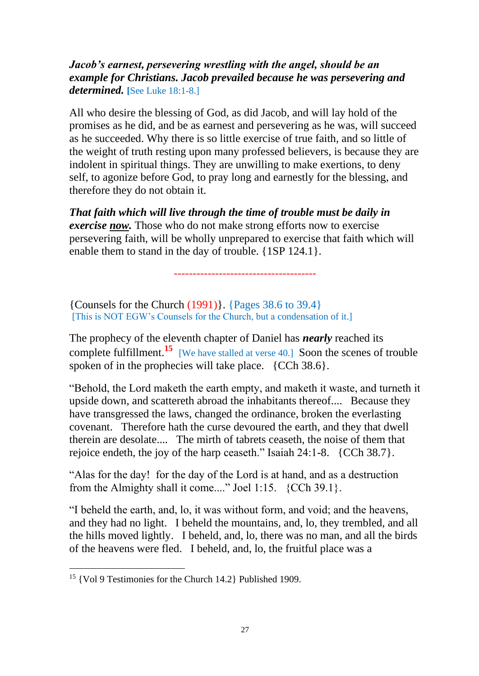# *Jacob's earnest, persevering wrestling with the angel, should be an example for Christians. Jacob prevailed because he was persevering and determined.* **[**See Luke 18:1-8.]

All who desire the blessing of God, as did Jacob, and will lay hold of the promises as he did, and be as earnest and persevering as he was, will succeed as he succeeded. Why there is so little exercise of true faith, and so little of the weight of truth resting upon many professed believers, is because they are indolent in spiritual things. They are unwilling to make exertions, to deny self, to agonize before God, to pray long and earnestly for the blessing, and therefore they do not obtain it.

*That faith which will live through the time of trouble must be daily in exercise now.* Those who do not make strong efforts now to exercise persevering faith, will be wholly unprepared to exercise that faith which will enable them to stand in the day of trouble. {1SP 124.1}.

--------------------------------------

{Counsels for the Church (1991)}. {Pages 38.6 to 39.4} [This is NOT EGW's Counsels for the Church, but a condensation of it.]

The prophecy of the eleventh chapter of Daniel has *nearly* reached its complete fulfillment.**<sup>15</sup>** [We have stalled at verse 40.] Soon the scenes of trouble spoken of in the prophecies will take place. {CCh 38.6}.

"Behold, the Lord maketh the earth empty, and maketh it waste, and turneth it upside down, and scattereth abroad the inhabitants thereof.... Because they have transgressed the laws, changed the ordinance, broken the everlasting covenant. Therefore hath the curse devoured the earth, and they that dwell therein are desolate.... The mirth of tabrets ceaseth, the noise of them that rejoice endeth, the joy of the harp ceaseth." Isaiah 24:1-8. {CCh 38.7}.

"Alas for the day! for the day of the Lord is at hand, and as a destruction from the Almighty shall it come...." Joel 1:15. {CCh 39.1}.

"I beheld the earth, and, lo, it was without form, and void; and the heavens, and they had no light. I beheld the mountains, and, lo, they trembled, and all the hills moved lightly. I beheld, and, lo, there was no man, and all the birds of the heavens were fled. I beheld, and, lo, the fruitful place was a

<sup>15</sup> {Vol 9 Testimonies for the Church 14.2} Published 1909.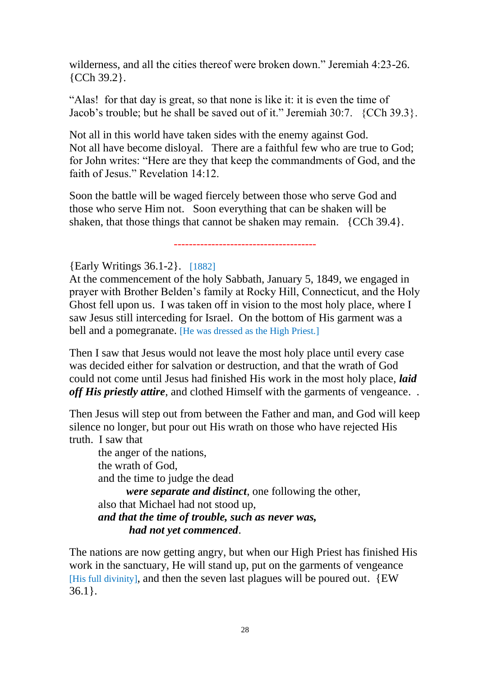wilderness, and all the cities thereof were broken down." Jeremiah 4:23-26. {CCh 39.2}.

"Alas! for that day is great, so that none is like it: it is even the time of Jacob's trouble; but he shall be saved out of it." Jeremiah 30:7. {CCh 39.3}.

Not all in this world have taken sides with the enemy against God. Not all have become disloyal. There are a faithful few who are true to God; for John writes: "Here are they that keep the commandments of God, and the faith of Jesus." Revelation 14:12.

Soon the battle will be waged fiercely between those who serve God and those who serve Him not. Soon everything that can be shaken will be shaken, that those things that cannot be shaken may remain. {CCh 39.4}.

--------------------------------------

{Early Writings 36.1-2}. [1882]

At the commencement of the holy Sabbath, January 5, 1849, we engaged in prayer with Brother Belden's family at Rocky Hill, Connecticut, and the Holy Ghost fell upon us. I was taken off in vision to the most holy place, where I saw Jesus still interceding for Israel. On the bottom of His garment was a bell and a pomegranate. [He was dressed as the High Priest.]

Then I saw that Jesus would not leave the most holy place until every case was decided either for salvation or destruction, and that the wrath of God could not come until Jesus had finished His work in the most holy place, *laid off His priestly attire*, and clothed Himself with the garments of vengeance. .

Then Jesus will step out from between the Father and man, and God will keep silence no longer, but pour out His wrath on those who have rejected His truth. I saw that

the anger of the nations, the wrath of God, and the time to judge the dead  *were separate and distinct*, one following the other, also that Michael had not stood up, *and that the time of trouble, such as never was, had not yet commenced*.

The nations are now getting angry, but when our High Priest has finished His work in the sanctuary, He will stand up, put on the garments of vengeance [His full divinity], and then the seven last plagues will be poured out. {EW 36.1}.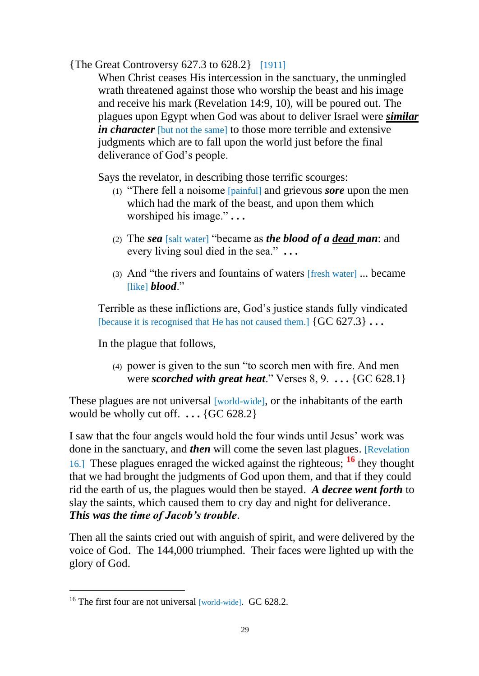# {The Great Controversy 627.3 to 628.2} [1911]

When Christ ceases His intercession in the sanctuary, the unmingled wrath threatened against those who worship the beast and his image and receive his mark (Revelation 14:9, 10), will be poured out. The plagues upon Egypt when God was about to deliver Israel were *similar in character* [but not the same] to those more terrible and extensive judgments which are to fall upon the world just before the final deliverance of God's people.

Says the revelator, in describing those terrific scourges:

- (1) "There fell a noisome [painful] and grievous *sore* upon the men which had the mark of the beast, and upon them which worshiped his image." **. . .**
- (2) The *sea* [salt water] "became as *the blood of a dead man*: and every living soul died in the sea." **. . .**
- (3) And "the rivers and fountains of waters [fresh water] ... became [like] *blood*."

Terrible as these inflictions are, God's justice stands fully vindicated [because it is recognised that He has not caused them.] {GC 627.3} **. . .**

In the plague that follows,

(4) power is given to the sun "to scorch men with fire. And men were *scorched with great heat*." Verses 8, 9. **. . .** {GC 628.1}

These plagues are not universal [world-wide], or the inhabitants of the earth would be wholly cut off. **. . .** {GC 628.2}

I saw that the four angels would hold the four winds until Jesus' work was done in the sanctuary, and *then* will come the seven last plagues. [Revelation 16.] These plagues enraged the wicked against the righteous; **<sup>16</sup>** they thought that we had brought the judgments of God upon them, and that if they could rid the earth of us, the plagues would then be stayed. *A decree went forth* to slay the saints, which caused them to cry day and night for deliverance. *This was the time of Jacob's trouble*.

Then all the saints cried out with anguish of spirit, and were delivered by the voice of God. The 144,000 triumphed. Their faces were lighted up with the glory of God.

<sup>&</sup>lt;sup>16</sup> The first four are not universal [world-wide]. GC 628.2.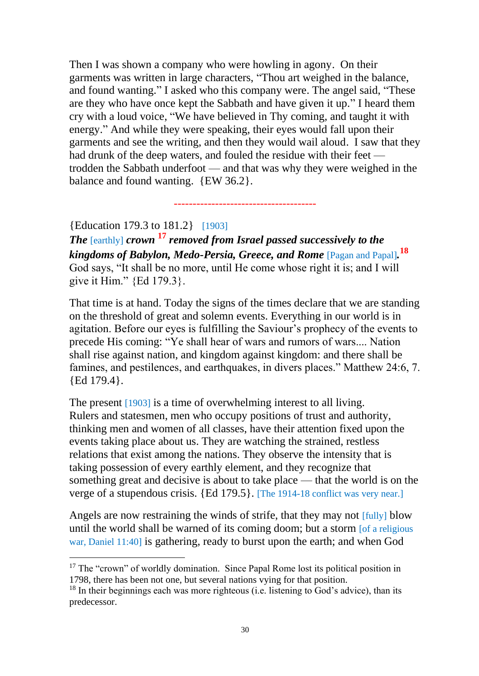Then I was shown a company who were howling in agony. On their garments was written in large characters, "Thou art weighed in the balance, and found wanting." I asked who this company were. The angel said, "These are they who have once kept the Sabbath and have given it up." I heard them cry with a loud voice, "We have believed in Thy coming, and taught it with energy." And while they were speaking, their eyes would fall upon their garments and see the writing, and then they would wail aloud. I saw that they had drunk of the deep waters, and fouled the residue with their feet trodden the Sabbath underfoot — and that was why they were weighed in the balance and found wanting. {EW 36.2}.

--------------------------------------

{Education 179.3 to 181.2} [1903]

*The* [earthly] *crown* **<sup>17</sup>** *removed from Israel passed successively to the kingdoms of Babylon, Medo-Persia, Greece, and Rome* [Pagan and Papal]*.* **18** God says, "It shall be no more, until He come whose right it is; and I will give it Him." {Ed 179.3}.

That time is at hand. Today the signs of the times declare that we are standing on the threshold of great and solemn events. Everything in our world is in agitation. Before our eyes is fulfilling the Saviour's prophecy of the events to precede His coming: "Ye shall hear of wars and rumors of wars.... Nation shall rise against nation, and kingdom against kingdom: and there shall be famines, and pestilences, and earthquakes, in divers places." Matthew 24:6, 7. {Ed 179.4}.

The present [1903] is a time of overwhelming interest to all living. Rulers and statesmen, men who occupy positions of trust and authority, thinking men and women of all classes, have their attention fixed upon the events taking place about us. They are watching the strained, restless relations that exist among the nations. They observe the intensity that is taking possession of every earthly element, and they recognize that something great and decisive is about to take place — that the world is on the verge of a stupendous crisis. {Ed 179.5}. [The 1914-18 conflict was very near.]

Angels are now restraining the winds of strife, that they may not [fully] blow until the world shall be warned of its coming doom; but a storm [of a religious war, Daniel 11:40] is gathering, ready to burst upon the earth; and when God

 $17$  The "crown" of worldly domination. Since Papal Rome lost its political position in 1798, there has been not one, but several nations vying for that position.

 $18$  In their beginnings each was more righteous (i.e. listening to God's advice), than its predecessor.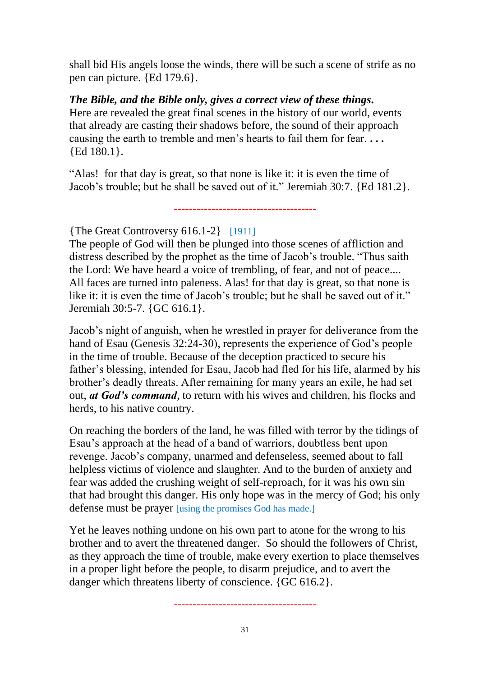shall bid His angels loose the winds, there will be such a scene of strife as no pen can picture. {Ed 179.6}.

#### *The Bible, and the Bible only, gives a correct view of these things.*

Here are revealed the great final scenes in the history of our world, events that already are casting their shadows before, the sound of their approach causing the earth to tremble and men's hearts to fail them for fear. **. . .** {Ed 180.1}.

"Alas! for that day is great, so that none is like it: it is even the time of Jacob's trouble; but he shall be saved out of it." Jeremiah 30:7. {Ed 181.2}.

--------------------------------------

#### {The Great Controversy  $616.1-2$ } [1911]

The people of God will then be plunged into those scenes of affliction and distress described by the prophet as the time of Jacob's trouble. "Thus saith the Lord: We have heard a voice of trembling, of fear, and not of peace.... All faces are turned into paleness. Alas! for that day is great, so that none is like it: it is even the time of Jacob's trouble; but he shall be saved out of it." Jeremiah 30:5-7. {GC 616.1}.

Jacob's night of anguish, when he wrestled in prayer for deliverance from the hand of Esau (Genesis 32:24-30), represents the experience of God's people in the time of trouble. Because of the deception practiced to secure his father's blessing, intended for Esau, Jacob had fled for his life, alarmed by his brother's deadly threats. After remaining for many years an exile, he had set out, *at God's command*, to return with his wives and children, his flocks and herds, to his native country.

On reaching the borders of the land, he was filled with terror by the tidings of Esau's approach at the head of a band of warriors, doubtless bent upon revenge. Jacob's company, unarmed and defenseless, seemed about to fall helpless victims of violence and slaughter. And to the burden of anxiety and fear was added the crushing weight of self-reproach, for it was his own sin that had brought this danger. His only hope was in the mercy of God; his only defense must be prayer [using the promises God has made.]

Yet he leaves nothing undone on his own part to atone for the wrong to his brother and to avert the threatened danger. So should the followers of Christ, as they approach the time of trouble, make every exertion to place themselves in a proper light before the people, to disarm prejudice, and to avert the danger which threatens liberty of conscience. {GC 616.2}.

--------------------------------------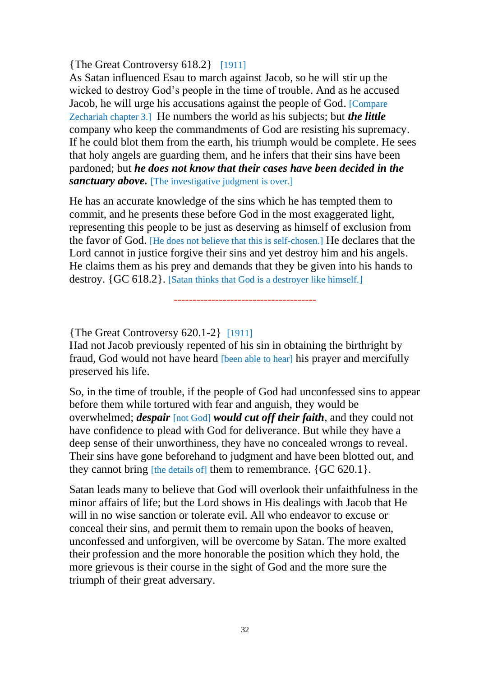{The Great Controversy 618.2} [1911]

As Satan influenced Esau to march against Jacob, so he will stir up the wicked to destroy God's people in the time of trouble. And as he accused Jacob, he will urge his accusations against the people of God. [Compare Zechariah chapter 3.] He numbers the world as his subjects; but *the little* company who keep the commandments of God are resisting his supremacy. If he could blot them from the earth, his triumph would be complete. He sees that holy angels are guarding them, and he infers that their sins have been pardoned; but *he does not know that their cases have been decided in the sanctuary above.* [The investigative judgment is over.]

He has an accurate knowledge of the sins which he has tempted them to commit, and he presents these before God in the most exaggerated light, representing this people to be just as deserving as himself of exclusion from the favor of God. [He does not believe that this is self-chosen.] He declares that the Lord cannot in justice forgive their sins and yet destroy him and his angels. He claims them as his prey and demands that they be given into his hands to destroy. {GC 618.2}. [Satan thinks that God is a destroyer like himself.]

--------------------------------------

{The Great Controversy 620.1-2} [1911]

Had not Jacob previously repented of his sin in obtaining the birthright by fraud, God would not have heard [been able to hear] his prayer and mercifully preserved his life.

So, in the time of trouble, if the people of God had unconfessed sins to appear before them while tortured with fear and anguish, they would be overwhelmed; *despair* [not God] *would cut off their faith*, and they could not have confidence to plead with God for deliverance. But while they have a deep sense of their unworthiness, they have no concealed wrongs to reveal. Their sins have gone beforehand to judgment and have been blotted out, and they cannot bring [the details of] them to remembrance. {GC 620.1}.

Satan leads many to believe that God will overlook their unfaithfulness in the minor affairs of life; but the Lord shows in His dealings with Jacob that He will in no wise sanction or tolerate evil. All who endeavor to excuse or conceal their sins, and permit them to remain upon the books of heaven, unconfessed and unforgiven, will be overcome by Satan. The more exalted their profession and the more honorable the position which they hold, the more grievous is their course in the sight of God and the more sure the triumph of their great adversary.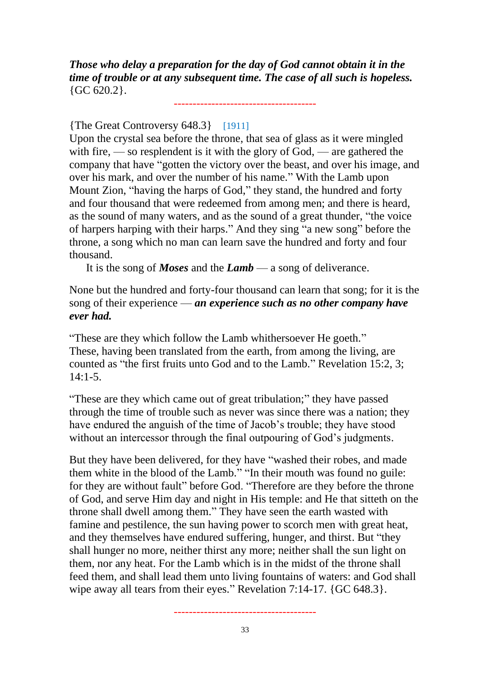*Those who delay a preparation for the day of God cannot obtain it in the time of trouble or at any subsequent time. The case of all such is hopeless.* {GC 620.2}.

--------------------------------------

{The Great Controversy 648.3} [1911]

Upon the crystal sea before the throne, that sea of glass as it were mingled with fire, — so resplendent is it with the glory of God, — are gathered the company that have "gotten the victory over the beast, and over his image, and over his mark, and over the number of his name." With the Lamb upon Mount Zion, "having the harps of God," they stand, the hundred and forty and four thousand that were redeemed from among men; and there is heard, as the sound of many waters, and as the sound of a great thunder, "the voice of harpers harping with their harps." And they sing "a new song" before the throne, a song which no man can learn save the hundred and forty and four thousand.

It is the song of *Moses* and the *Lamb* — a song of deliverance.

None but the hundred and forty-four thousand can learn that song; for it is the song of their experience — *an experience such as no other company have ever had.* 

"These are they which follow the Lamb whithersoever He goeth." These, having been translated from the earth, from among the living, are counted as "the first fruits unto God and to the Lamb." Revelation 15:2, 3;  $14:1-5$ .

"These are they which came out of great tribulation;" they have passed through the time of trouble such as never was since there was a nation; they have endured the anguish of the time of Jacob's trouble; they have stood without an intercessor through the final outpouring of God's judgments.

But they have been delivered, for they have "washed their robes, and made them white in the blood of the Lamb." "In their mouth was found no guile: for they are without fault" before God. "Therefore are they before the throne of God, and serve Him day and night in His temple: and He that sitteth on the throne shall dwell among them." They have seen the earth wasted with famine and pestilence, the sun having power to scorch men with great heat, and they themselves have endured suffering, hunger, and thirst. But "they shall hunger no more, neither thirst any more; neither shall the sun light on them, nor any heat. For the Lamb which is in the midst of the throne shall feed them, and shall lead them unto living fountains of waters: and God shall wipe away all tears from their eyes." Revelation 7:14-17. {GC 648.3}.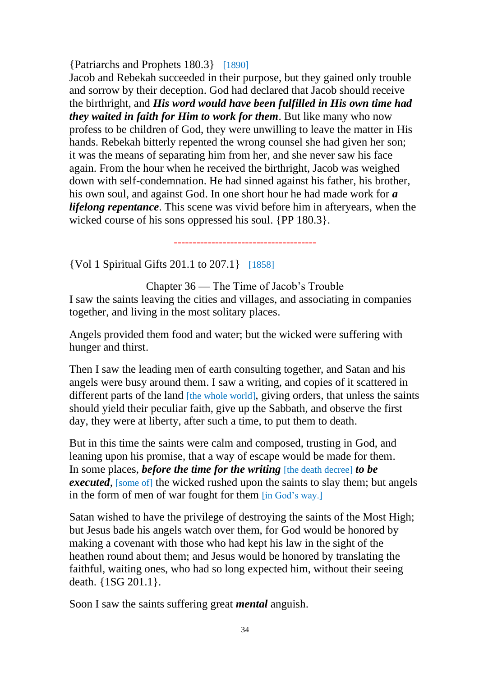{Patriarchs and Prophets 180.3} [1890]

Jacob and Rebekah succeeded in their purpose, but they gained only trouble and sorrow by their deception. God had declared that Jacob should receive the birthright, and *His word would have been fulfilled in His own time had they waited in faith for Him to work for them*. But like many who now profess to be children of God, they were unwilling to leave the matter in His hands. Rebekah bitterly repented the wrong counsel she had given her son; it was the means of separating him from her, and she never saw his face again. From the hour when he received the birthright, Jacob was weighed down with self-condemnation. He had sinned against his father, his brother, his own soul, and against God. In one short hour he had made work for *a lifelong repentance*. This scene was vivid before him in afteryears, when the wicked course of his sons oppressed his soul. {PP 180.3}.

--------------------------------------

{Vol 1 Spiritual Gifts 201.1 to 207.1} [1858]

Chapter 36 — The Time of Jacob's Trouble I saw the saints leaving the cities and villages, and associating in companies together, and living in the most solitary places.

Angels provided them food and water; but the wicked were suffering with hunger and thirst.

Then I saw the leading men of earth consulting together, and Satan and his angels were busy around them. I saw a writing, and copies of it scattered in different parts of the land [the whole world], giving orders, that unless the saints should yield their peculiar faith, give up the Sabbath, and observe the first day, they were at liberty, after such a time, to put them to death.

But in this time the saints were calm and composed, trusting in God, and leaning upon his promise, that a way of escape would be made for them. In some places, *before the time for the writing* [the death decree] *to be executed*, [some of] the wicked rushed upon the saints to slay them; but angels in the form of men of war fought for them [in God's way.]

Satan wished to have the privilege of destroying the saints of the Most High; but Jesus bade his angels watch over them, for God would be honored by making a covenant with those who had kept his law in the sight of the heathen round about them; and Jesus would be honored by translating the faithful, waiting ones, who had so long expected him, without their seeing death. {1SG 201.1}.

Soon I saw the saints suffering great *mental* anguish.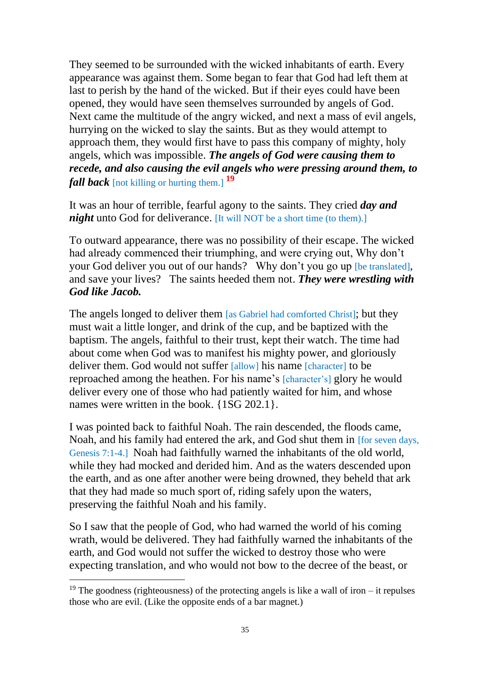They seemed to be surrounded with the wicked inhabitants of earth. Every appearance was against them. Some began to fear that God had left them at last to perish by the hand of the wicked. But if their eyes could have been opened, they would have seen themselves surrounded by angels of God. Next came the multitude of the angry wicked, and next a mass of evil angels, hurrying on the wicked to slay the saints. But as they would attempt to approach them, they would first have to pass this company of mighty, holy angels, which was impossible. *The angels of God were causing them to recede, and also causing the evil angels who were pressing around them, to fall back* [not killing or hurting them.] **19**

It was an hour of terrible, fearful agony to the saints. They cried *day and night* unto God for deliverance. It will NOT be a short time (to them).]

To outward appearance, there was no possibility of their escape. The wicked had already commenced their triumphing, and were crying out, Why don't your God deliver you out of our hands? Why don't you go up [be translated], and save your lives? The saints heeded them not. *They were wrestling with God like Jacob.* 

The angels longed to deliver them [as Gabriel had comforted Christ]; but they must wait a little longer, and drink of the cup, and be baptized with the baptism. The angels, faithful to their trust, kept their watch. The time had about come when God was to manifest his mighty power, and gloriously deliver them. God would not suffer [allow] his name [character] to be reproached among the heathen. For his name's [character's] glory he would deliver every one of those who had patiently waited for him, and whose names were written in the book. {1SG 202.1}.

I was pointed back to faithful Noah. The rain descended, the floods came, Noah, and his family had entered the ark, and God shut them in [for seven days, Genesis 7:1-4.] Noah had faithfully warned the inhabitants of the old world, while they had mocked and derided him. And as the waters descended upon the earth, and as one after another were being drowned, they beheld that ark that they had made so much sport of, riding safely upon the waters, preserving the faithful Noah and his family.

So I saw that the people of God, who had warned the world of his coming wrath, would be delivered. They had faithfully warned the inhabitants of the earth, and God would not suffer the wicked to destroy those who were expecting translation, and who would not bow to the decree of the beast, or

<sup>&</sup>lt;sup>19</sup> The goodness (righteousness) of the protecting angels is like a wall of iron – it repulses those who are evil. (Like the opposite ends of a bar magnet.)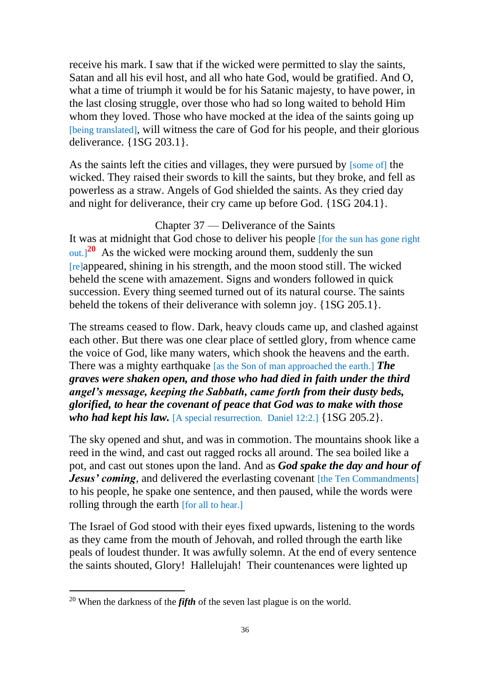receive his mark. I saw that if the wicked were permitted to slay the saints, Satan and all his evil host, and all who hate God, would be gratified. And O, what a time of triumph it would be for his Satanic majesty, to have power, in the last closing struggle, over those who had so long waited to behold Him whom they loved. Those who have mocked at the idea of the saints going up [being translated], will witness the care of God for his people, and their glorious deliverance. {1SG 203.1}.

As the saints left the cities and villages, they were pursued by [some of] the wicked. They raised their swords to kill the saints, but they broke, and fell as powerless as a straw. Angels of God shielded the saints. As they cried day and night for deliverance, their cry came up before God. {1SG 204.1}.

# Chapter 37 — Deliverance of the Saints

It was at midnight that God chose to deliver his people [for the sun has gone right out.] **<sup>20</sup>** As the wicked were mocking around them, suddenly the sun [re]appeared, shining in his strength, and the moon stood still. The wicked beheld the scene with amazement. Signs and wonders followed in quick succession. Every thing seemed turned out of its natural course. The saints beheld the tokens of their deliverance with solemn joy. {1SG 205.1}.

The streams ceased to flow. Dark, heavy clouds came up, and clashed against each other. But there was one clear place of settled glory, from whence came the voice of God, like many waters, which shook the heavens and the earth. There was a mighty earthquake [as the Son of man approached the earth.] *The graves were shaken open, and those who had died in faith under the third angel's message, keeping the Sabbath, came forth from their dusty beds, glorified, to hear the covenant of peace that God was to make with those who had kept his law.* [A special resurrection. Daniel 12:2.]  $\{1SG\ 205.2\}$ .

The sky opened and shut, and was in commotion. The mountains shook like a reed in the wind, and cast out ragged rocks all around. The sea boiled like a pot, and cast out stones upon the land. And as *God spake the day and hour of Jesus' coming*, and delivered the everlasting covenant *[the Ten Commandments]* to his people, he spake one sentence, and then paused, while the words were rolling through the earth [for all to hear.]

The Israel of God stood with their eyes fixed upwards, listening to the words as they came from the mouth of Jehovah, and rolled through the earth like peals of loudest thunder. It was awfully solemn. At the end of every sentence the saints shouted, Glory! Hallelujah! Their countenances were lighted up

<sup>&</sup>lt;sup>20</sup> When the darkness of the *fifth* of the seven last plague is on the world.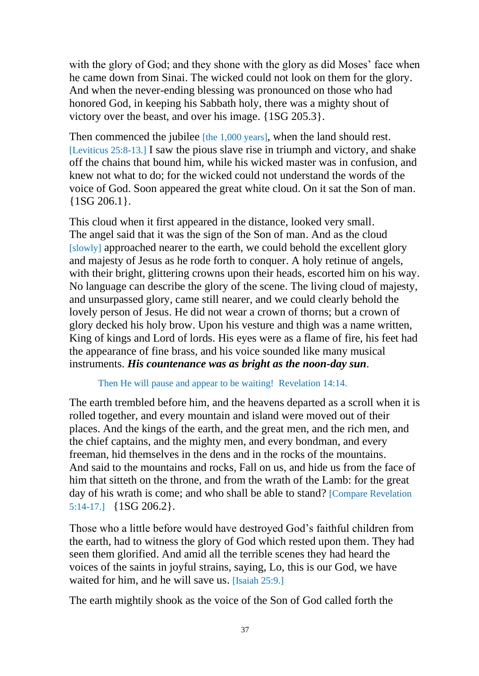with the glory of God; and they shone with the glory as did Moses' face when he came down from Sinai. The wicked could not look on them for the glory. And when the never-ending blessing was pronounced on those who had honored God, in keeping his Sabbath holy, there was a mighty shout of victory over the beast, and over his image. {1SG 205.3}.

Then commenced the jubilee [the 1,000 years], when the land should rest. [Leviticus 25:8-13.] I saw the pious slave rise in triumph and victory, and shake off the chains that bound him, while his wicked master was in confusion, and knew not what to do; for the wicked could not understand the words of the voice of God. Soon appeared the great white cloud. On it sat the Son of man. {1SG 206.1}.

This cloud when it first appeared in the distance, looked very small. The angel said that it was the sign of the Son of man. And as the cloud [slowly] approached nearer to the earth, we could behold the excellent glory and majesty of Jesus as he rode forth to conquer. A holy retinue of angels, with their bright, glittering crowns upon their heads, escorted him on his way. No language can describe the glory of the scene. The living cloud of majesty, and unsurpassed glory, came still nearer, and we could clearly behold the lovely person of Jesus. He did not wear a crown of thorns; but a crown of glory decked his holy brow. Upon his vesture and thigh was a name written, King of kings and Lord of lords. His eyes were as a flame of fire, his feet had the appearance of fine brass, and his voice sounded like many musical instruments. *His countenance was as bright as the noon-day sun*.

Then He will pause and appear to be waiting! Revelation 14:14.

The earth trembled before him, and the heavens departed as a scroll when it is rolled together, and every mountain and island were moved out of their places. And the kings of the earth, and the great men, and the rich men, and the chief captains, and the mighty men, and every bondman, and every freeman, hid themselves in the dens and in the rocks of the mountains. And said to the mountains and rocks, Fall on us, and hide us from the face of him that sitteth on the throne, and from the wrath of the Lamb: for the great day of his wrath is come; and who shall be able to stand? [Compare Revelation 5:14-17.] {1SG 206.2}.

Those who a little before would have destroyed God's faithful children from the earth, had to witness the glory of God which rested upon them. They had seen them glorified. And amid all the terrible scenes they had heard the voices of the saints in joyful strains, saying, Lo, this is our God, we have waited for him, and he will save us. [Isaiah 25:9.]

The earth mightily shook as the voice of the Son of God called forth the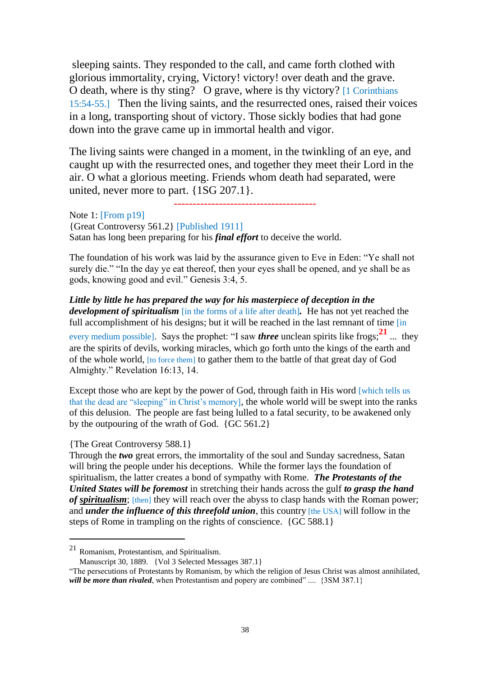sleeping saints. They responded to the call, and came forth clothed with glorious immortality, crying, Victory! victory! over death and the grave. O death, where is thy sting? O grave, where is thy victory? [1 Corinthians 15:54-55.] Then the living saints, and the resurrected ones, raised their voices in a long, transporting shout of victory. Those sickly bodies that had gone down into the grave came up in immortal health and vigor.

The living saints were changed in a moment, in the twinkling of an eye, and caught up with the resurrected ones, and together they meet their Lord in the air. O what a glorious meeting. Friends whom death had separated, were united, never more to part. {1SG 207.1}.

--------------------------------------

Note 1: [From p19] {Great Controversy 561.2} [Published 1911] Satan has long been preparing for his *final effort* to deceive the world.

The foundation of his work was laid by the assurance given to Eve in Eden: "Ye shall not surely die." "In the day ye eat thereof, then your eyes shall be opened, and ye shall be as gods, knowing good and evil." Genesis 3:4, 5.

*Little by little he has prepared the way for his masterpiece of deception in the development of spiritualism* [in the forms of a life after death]*.* He has not yet reached the full accomplishment of his designs; but it will be reached in the last remnant of time [in]

every medium possible]. Says the prophet: "I saw *three* unclean spirits like frogs;<sup>21</sup> ... they are the spirits of devils, working miracles, which go forth unto the kings of the earth and of the whole world, [to force them] to gather them to the battle of that great day of God Almighty." Revelation 16:13, 14.

Except those who are kept by the power of God, through faith in His word [which tells us that the dead are "sleeping" in Christ's memory], the whole world will be swept into the ranks of this delusion. The people are fast being lulled to a fatal security, to be awakened only by the outpouring of the wrath of God. {GC 561.2}

#### {The Great Controversy 588.1}

Through the *two* great errors, the immortality of the soul and Sunday sacredness, Satan will bring the people under his deceptions. While the former lays the foundation of spiritualism, the latter creates a bond of sympathy with Rome. *The Protestants of the United States will be foremost* in stretching their hands across the gulf *to grasp the hand of spiritualism*; [then] they will reach over the abyss to clasp hands with the Roman power; and *under the influence of this threefold union*, this country [the USA] will follow in the steps of Rome in trampling on the rights of conscience. {GC 588.1}

<sup>21</sup> Romanism, Protestantism, and Spiritualism.

Manuscript 30, 1889. {Vol 3 Selected Messages 387.1}

<sup>&</sup>quot;The persecutions of Protestants by Romanism, by which the religion of Jesus Christ was almost annihilated, *will be more than rivaled*, when Protestantism and popery are combined" .... {3SM 387.1}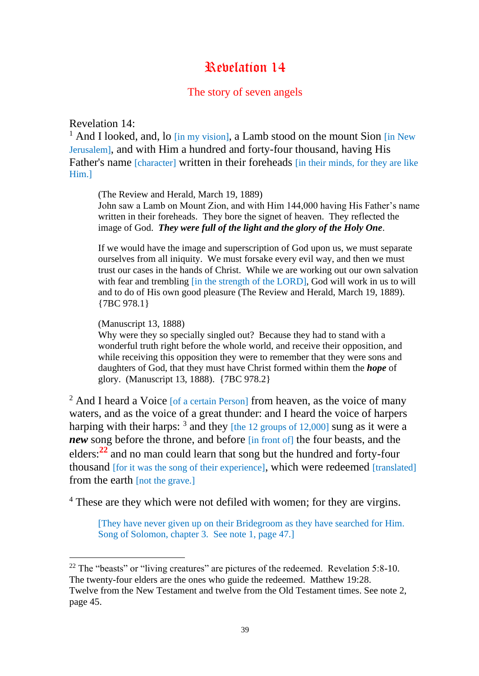# Repelation 14

#### The story of seven angels

#### Revelation 14:

<sup>1</sup> And I looked, and, lo  $\left[ \text{in } \text{my } \text{vision} \right]$ , a Lamb stood on the mount Sion  $\left[ \text{in } \text{New } \right]$ Jerusalem], and with Him a hundred and forty-four thousand, having His Father's name [character] written in their foreheads [in their minds, for they are like Him.]

(The Review and Herald, March 19, 1889)

John saw a Lamb on Mount Zion, and with Him 144,000 having His Father's name written in their foreheads. They bore the signet of heaven. They reflected the image of God. *They were full of the light and the glory of the Holy One*.

If we would have the image and superscription of God upon us, we must separate ourselves from all iniquity. We must forsake every evil way, and then we must trust our cases in the hands of Christ. While we are working out our own salvation with fear and trembling  $\overline{\text{in}}$  the strength of the LORD]. God will work in us to will and to do of His own good pleasure (The Review and Herald, March 19, 1889). {7BC 978.1}

(Manuscript 13, 1888)

Why were they so specially singled out? Because they had to stand with a wonderful truth right before the whole world, and receive their opposition, and while receiving this opposition they were to remember that they were sons and daughters of God, that they must have Christ formed within them the *hope* of glory. (Manuscript 13, 1888). {7BC 978.2}

<sup>2</sup> And I heard a Voice [of a certain Person] from heaven, as the voice of many waters, and as the voice of a great thunder: and I heard the voice of harpers harping with their harps:  $3$  and they [the 12 groups of 12,000] sung as it were a *new* song before the throne, and before [in front of] the four beasts, and the elders:**<sup>22</sup>** and no man could learn that song but the hundred and forty-four thousand [for it was the song of their experience], which were redeemed [translated] from the earth [not the grave.]

<sup>4</sup> These are they which were not defiled with women; for they are virgins.

[They have never given up on their Bridegroom as they have searched for Him. Song of Solomon, chapter 3. See note 1, page 47.]

 $22$  The "beasts" or "living creatures" are pictures of the redeemed. Revelation 5:8-10. The twenty-four elders are the ones who guide the redeemed. Matthew 19:28.

Twelve from the New Testament and twelve from the Old Testament times. See note 2, page 45.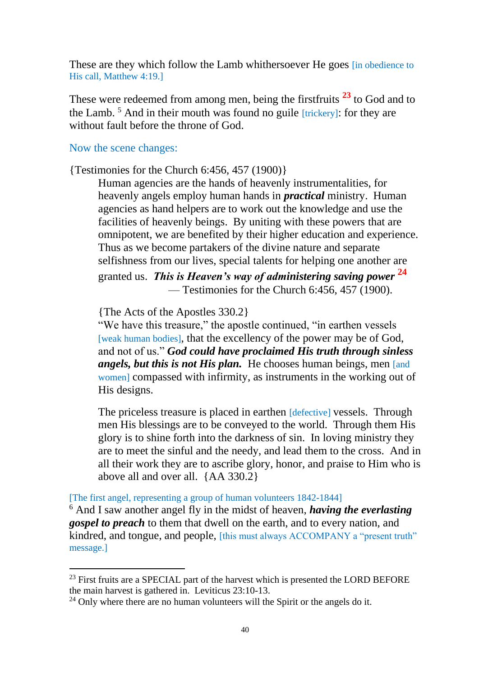These are they which follow the Lamb whithersoever He goes *in obedience to* His call, Matthew 4:19.]

These were redeemed from among men, being the firstfruits **<sup>23</sup>** to God and to the Lamb.  $5$  And in their mouth was found no guile [trickery]: for they are without fault before the throne of God.

Now the scene changes:

{Testimonies for the Church 6:456, 457 (1900)}

Human agencies are the hands of heavenly instrumentalities, for heavenly angels employ human hands in *practical* ministry. Human agencies as hand helpers are to work out the knowledge and use the facilities of heavenly beings. By uniting with these powers that are omnipotent, we are benefited by their higher education and experience. Thus as we become partakers of the divine nature and separate selfishness from our lives, special talents for helping one another are granted us. *This is Heaven's way of administering saving power* **<sup>24</sup>** — Testimonies for the Church 6:456, 457 (1900).

{The Acts of the Apostles 330.2}

"We have this treasure," the apostle continued, "in earthen vessels [weak human bodies], that the excellency of the power may be of God, and not of us." *God could have proclaimed His truth through sinless angels, but this is not His plan.* He chooses human beings, men [and women] compassed with infirmity, as instruments in the working out of His designs.

The priceless treasure is placed in earthen *[defective]* vessels. Through men His blessings are to be conveyed to the world. Through them His glory is to shine forth into the darkness of sin. In loving ministry they are to meet the sinful and the needy, and lead them to the cross. And in all their work they are to ascribe glory, honor, and praise to Him who is above all and over all. {AA 330.2}

[The first angel, representing a group of human volunteers 1842-1844]

<sup>6</sup> And I saw another angel fly in the midst of heaven, *having the everlasting gospel to preach* to them that dwell on the earth, and to every nation, and kindred, and tongue, and people, [this must always ACCOMPANY a "present truth" message.]

<sup>&</sup>lt;sup>23</sup> First fruits are a SPECIAL part of the harvest which is presented the LORD BEFORE the main harvest is gathered in. Leviticus 23:10-13.

 $24$  Only where there are no human volunteers will the Spirit or the angels do it.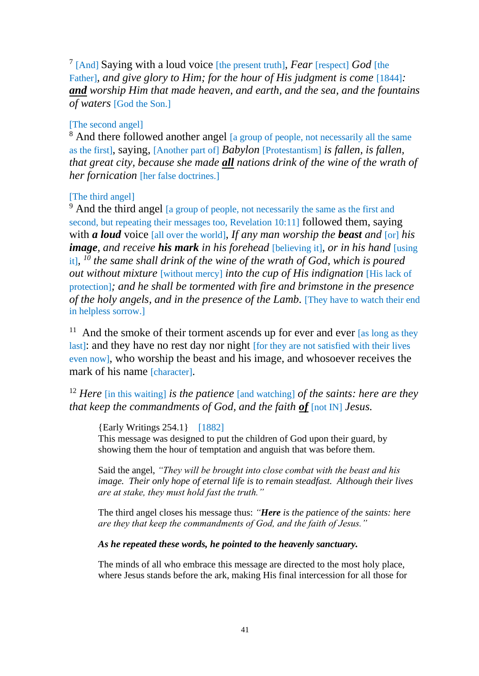7 [And] Saying with a loud voice [the present truth], *Fear* [respect] *God* [the Father]*, and give glory to Him; for the hour of His judgment is come* [1844]*: and worship Him that made heaven, and earth, and the sea, and the fountains of waters* [God the Son.]

#### [The second angel]

<sup>8</sup> And there followed another angel [a group of people, not necessarily all the same as the first], saying, [Another part of] *Babylon* [Protestantism] *is fallen, is fallen, that great city, because she made all nations drink of the wine of the wrath of her fornication* [her false doctrines.]

#### [The third angel]

<sup>9</sup> And the third angel [a group of people, not necessarily the same as the first and second, but repeating their messages too, Revelation 10:11] followed them, saying with *a loud* voice [all over the world], If any man worship the **beast** and [or] his *image, and receive his mark in his forehead* [believing it]*, or in his hand* [using it]*, <sup>10</sup> the same shall drink of the wine of the wrath of God, which is poured out without mixture* [without mercy] *into the cup of His indignation* [His lack of protection]*; and he shall be tormented with fire and brimstone in the presence of the holy angels, and in the presence of the Lamb.* [They have to watch their end in helpless sorrow.]

11 And the smoke of their torment ascends up for ever and ever [as long as they last]: and they have no rest day nor night [for they are not satisfied with their lives even now], who worship the beast and his image, and whosoever receives the mark of his name [character].

<sup>12</sup> *Here* [in this waiting] *is the patience* [and watching] *of the saints: here are they that keep the commandments of God, and the faith of* [not IN] *Jesus.*

{Early Writings 254.1} [1882] This message was designed to put the children of God upon their guard, by showing them the hour of temptation and anguish that was before them.

Said the angel, *"They will be brought into close combat with the beast and his image. Their only hope of eternal life is to remain steadfast. Although their lives are at stake, they must hold fast the truth."*

The third angel closes his message thus: *"Here is the patience of the saints: here are they that keep the commandments of God, and the faith of Jesus."*

*As he repeated these words, he pointed to the heavenly sanctuary.* 

The minds of all who embrace this message are directed to the most holy place, where Jesus stands before the ark, making His final intercession for all those for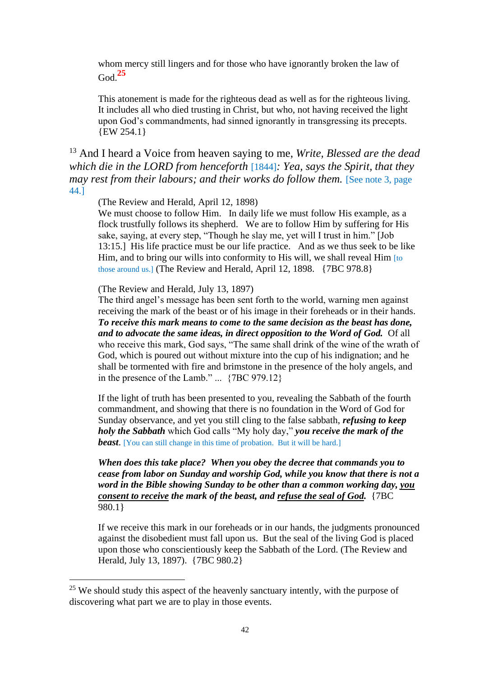whom mercy still lingers and for those who have ignorantly broken the law of God.**<sup>25</sup>**

This atonement is made for the righteous dead as well as for the righteous living. It includes all who died trusting in Christ, but who, not having received the light upon God's commandments, had sinned ignorantly in transgressing its precepts. {EW 254.1}

<sup>13</sup> And I heard a Voice from heaven saying to me, *Write, Blessed are the dead which die in the LORD from henceforth* [1844]*: Yea, says the Spirit, that they may rest from their labours; and their works do follow them.* [See note 3, page] 44.]

(The Review and Herald, April 12, 1898)

We must choose to follow Him. In daily life we must follow His example, as a flock trustfully follows its shepherd. We are to follow Him by suffering for His sake, saying, at every step, "Though he slay me, yet will I trust in him." [Job 13:15.] His life practice must be our life practice. And as we thus seek to be like Him, and to bring our wills into conformity to His will, we shall reveal Him [to] those around us.] (The Review and Herald, April 12, 1898. {7BC 978.8}

(The Review and Herald, July 13, 1897)

The third angel's message has been sent forth to the world, warning men against receiving the mark of the beast or of his image in their foreheads or in their hands. *To receive this mark means to come to the same decision as the beast has done, and to advocate the same ideas, in direct opposition to the Word of God.* Of all who receive this mark, God says, "The same shall drink of the wine of the wrath of God, which is poured out without mixture into the cup of his indignation; and he shall be tormented with fire and brimstone in the presence of the holy angels, and in the presence of the Lamb." ... {7BC 979.12}

If the light of truth has been presented to you, revealing the Sabbath of the fourth commandment, and showing that there is no foundation in the Word of God for Sunday observance, and yet you still cling to the false sabbath, *refusing to keep holy the Sabbath* which God calls "My holy day," *you receive the mark of the beast*. [You can still change in this time of probation. But it will be hard.]

*When does this take place? When you obey the decree that commands you to cease from labor on Sunday and worship God, while you know that there is not a word in the Bible showing Sunday to be other than a common working day, you consent to receive the mark of the beast, and refuse the seal of God.* {7BC 980.1}

If we receive this mark in our foreheads or in our hands, the judgments pronounced against the disobedient must fall upon us. But the seal of the living God is placed upon those who conscientiously keep the Sabbath of the Lord. (The Review and Herald, July 13, 1897). {7BC 980.2}

<sup>&</sup>lt;sup>25</sup> We should study this aspect of the heavenly sanctuary intently, with the purpose of discovering what part we are to play in those events.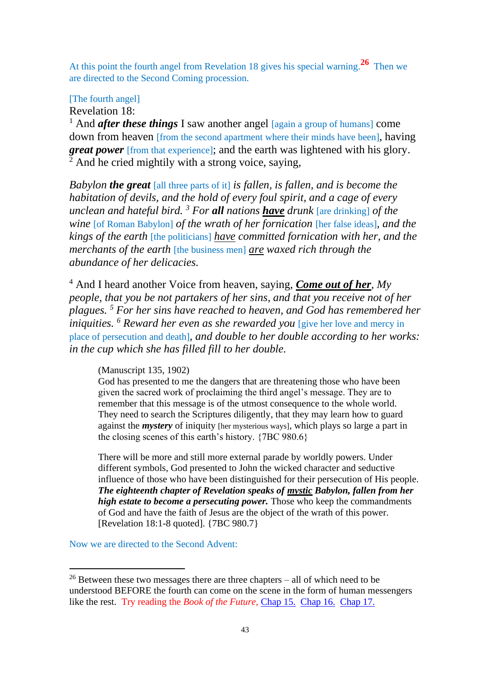At this point the fourth angel from Revelation 18 gives his special warning.**<sup>26</sup>** Then we are directed to the Second Coming procession.

#### [The fourth angel]

Revelation 18:

<sup>1</sup> And *after these things* I saw another angel [again a group of humans] come down from heaven [from the second apartment where their minds have been], having **great power** [from that experience]; and the earth was lightened with his glory.  $<sup>2</sup>$  And he cried mightily with a strong voice, saying,</sup>

*Babylon the great* [all three parts of it] *is fallen, is fallen, and is become the habitation of devils, and the hold of every foul spirit, and a cage of every unclean and hateful bird. <sup>3</sup> For all nations have drunk* [are drinking] *of the wine* [of Roman Babylon] *of the wrath of her fornication* [her false ideas]*, and the kings of the earth* [the politicians] *have committed fornication with her, and the merchants of the earth* [the business men] *are waxed rich through the abundance of her delicacies.* 

<sup>4</sup> And I heard another Voice from heaven, saying, *Come out of her, My people, that you be not partakers of her sins, and that you receive not of her plagues. <sup>5</sup> For her sins have reached to heaven, and God has remembered her iniquities. <sup>6</sup> Reward her even as she rewarded you* [give her love and mercy in place of persecution and death]*, and double to her double according to her works: in the cup which she has filled fill to her double.* 

#### (Manuscript 135, 1902)

God has presented to me the dangers that are threatening those who have been given the sacred work of proclaiming the third angel's message. They are to remember that this message is of the utmost consequence to the whole world. They need to search the Scriptures diligently, that they may learn how to guard against the *mystery* of iniquity [her mysterious ways], which plays so large a part in the closing scenes of this earth's history. {7BC 980.6}

There will be more and still more external parade by worldly powers. Under different symbols, God presented to John the wicked character and seductive influence of those who have been distinguished for their persecution of His people. *The eighteenth chapter of Revelation speaks of mystic Babylon, fallen from her high estate to become a persecuting power.* Those who keep the commandments of God and have the faith of Jesus are the object of the wrath of this power. [Revelation 18:1-8 quoted]. {7BC 980.7}

Now we are directed to the Second Advent:

<sup>&</sup>lt;sup>26</sup> Between these two messages there are three chapters – all of which need to be understood BEFORE the fourth can come on the scene in the form of human messengers like the rest. Try reading the *Book of the Future,* [Chap 15.](https://ancient-sda.com/future_dan_rev/rev_15.html#.) [Chap 16.](https://ancient-sda.com/future_dan_rev/rev_16.html#.) [Chap 17.](https://ancient-sda.com/future_dan_rev/rev_17.html#.)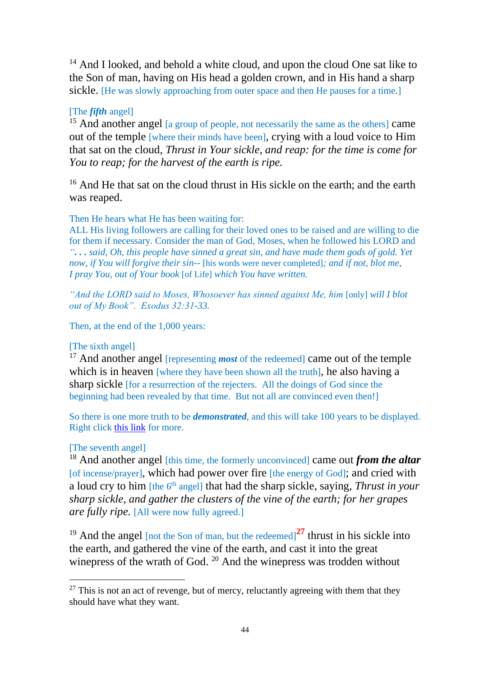<sup>14</sup> And I looked, and behold a white cloud, and upon the cloud One sat like to the Son of man, having on His head a golden crown, and in His hand a sharp sickle. [He was slowly approaching from outer space and then He pauses for a time.]

#### [The *fifth* angel]

<sup>15</sup> And another angel [a group of people, not necessarily the same as the others] came out of the temple [where their minds have been], crying with a loud voice to Him that sat on the cloud, *Thrust in Your sickle, and reap: for the time is come for You to reap; for the harvest of the earth is ripe.*

<sup>16</sup> And He that sat on the cloud thrust in His sickle on the earth; and the earth was reaped.

#### Then He hears what He has been waiting for:

ALL His living followers are calling for their loved ones to be raised and are willing to die for them if necessary. Consider the man of God, Moses, when he followed his LORD and *". . . said, Oh, this people have sinned a great sin, and have made them gods of gold. Yet now, if You will forgive their sin--* [his words were never completed]*; and if not, blot me, I pray You, out of Your book* [of Life] *which You have written.* 

*"And the LORD said to Moses, Whosoever has sinned against Me, him [only] will I blot out of My Book". Exodus 32:31-33.* 

Then, at the end of the 1,000 years:

#### [The sixth angel]

<sup>17</sup> And another angel [representing *most* of the redeemed] came out of the temple which is in heaven [where they have been shown all the truth], he also having a sharp sickle [for a resurrection of the rejecters. All the doings of God since the beginning had been revealed by that time. But not all are convinced even then!]

So there is one more truth to be *demonstrated*, and this will take 100 years to be displayed. Right click [this link](file:///C:/Users/Ron%20Parsons/Downloads/2014%2012%20lake_of_fire_dec_14.html) for more.

#### [The seventh angel]

<sup>18</sup> And another angel [this time, the formerly unconvinced] came out *from the altar* [of incense/prayer], which had power over fire [the energy of God]; and cried with a loud cry to him *[the 6<sup>th</sup> angel]* that had the sharp sickle, saying, *Thrust in your sharp sickle, and gather the clusters of the vine of the earth; for her grapes are fully ripe.* [All were now fully agreed.]

<sup>19</sup> And the angel [not the Son of man, but the redeemed]<sup>27</sup> thrust in his sickle into the earth, and gathered the vine of the earth, and cast it into the great winepress of the wrath of God. <sup>20</sup> And the winepress was trodden without

 $27$  This is not an act of revenge, but of mercy, reluctantly agreeing with them that they should have what they want.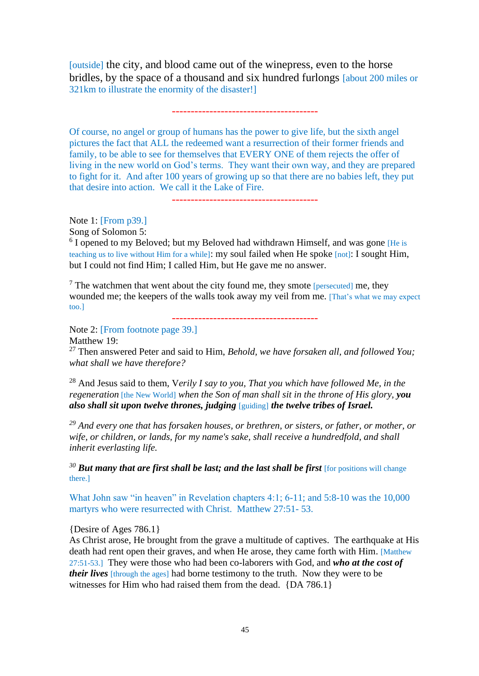[outside] the city, and blood came out of the winepress, even to the horse bridles, by the space of a thousand and six hundred furlongs [about 200 miles or 321km to illustrate the enormity of the disaster!]

---------------------------------------

Of course, no angel or group of humans has the power to give life, but the sixth angel pictures the fact that ALL the redeemed want a resurrection of their former friends and family, to be able to see for themselves that EVERY ONE of them rejects the offer of living in the new world on God's terms. They want their own way, and they are prepared to fight for it. And after 100 years of growing up so that there are no babies left, they put that desire into action. We call it the Lake of Fire.

---------------------------------------

Note 1: [From p39.] Song of Solomon 5:

<sup>6</sup> I opened to my Beloved; but my Beloved had withdrawn Himself, and was gone [He is teaching us to live without Him for a while]: my soul failed when He spoke [not]: I sought Him, but I could not find Him; I called Him, but He gave me no answer.

 $<sup>7</sup>$  The watchmen that went about the city found me, they smote [persecuted] me, they</sup> wounded me; the keepers of the walls took away my veil from me. [That's what we may expect too.]

---------------------------------------

Note 2: [From footnote page 39.]

Matthew 19:

<sup>27</sup> Then answered Peter and said to Him, *Behold, we have forsaken all, and followed You; what shall we have therefore?* 

<sup>28</sup> And Jesus said to them, V*erily I say to you, That you which have followed Me, in the regeneration* [the New World] *when the Son of man shall sit in the throne of His glory, you also shall sit upon twelve thrones, judging* [guiding] *the twelve tribes of Israel.* 

*<sup>29</sup> And every one that has forsaken houses, or brethren, or sisters, or father, or mother, or wife, or children, or lands, for my name's sake, shall receive a hundredfold, and shall inherit everlasting life.* 

*<sup>30</sup> But many that are first shall be last; and the last shall be first* [for positions will change there.]

What John saw "in heaven" in Revelation chapters 4:1; 6-11; and 5:8-10 was the 10,000 martyrs who were resurrected with Christ. Matthew 27:51- 53.

#### {Desire of Ages 786.1}

As Christ arose, He brought from the grave a multitude of captives. The earthquake at His death had rent open their graves, and when He arose, they came forth with Him. [Matthew 27:51-53.] They were those who had been co-laborers with God, and *who at the cost of their lives* [through the ages] had borne testimony to the truth. Now they were to be witnesses for Him who had raised them from the dead. {DA 786.1}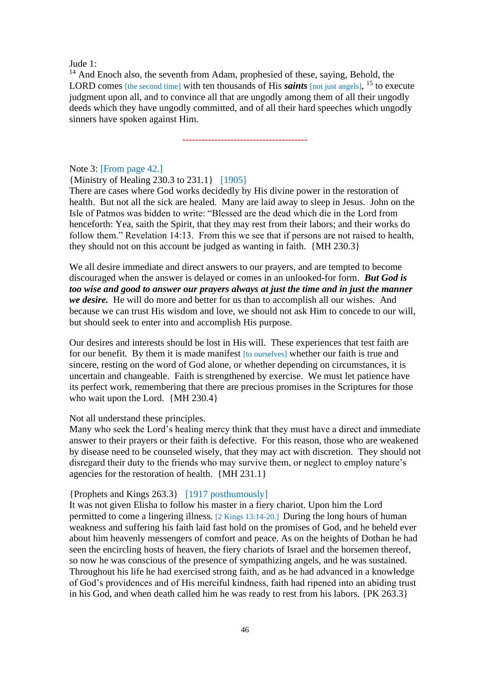Jude 1:

<sup>14</sup> And Enoch also, the seventh from Adam, prophesied of these, saying, Behold, the LORD comes [the second time] with ten thousands of His *saints* [not just angels], <sup>15</sup> to execute judgment upon all, and to convince all that are ungodly among them of all their ungodly deeds which they have ungodly committed, and of all their hard speeches which ungodly sinners have spoken against Him.

---------------------------------------

Note 3: [From page 42.]

{Ministry of Healing 230.3 to 231.1} [1905]

There are cases where God works decidedly by His divine power in the restoration of health. But not all the sick are healed. Many are laid away to sleep in Jesus. John on the Isle of Patmos was bidden to write: "Blessed are the dead which die in the Lord from henceforth: Yea, saith the Spirit, that they may rest from their labors; and their works do follow them." Revelation 14:13. From this we see that if persons are not raised to health, they should not on this account be judged as wanting in faith. {MH 230.3}

We all desire immediate and direct answers to our prayers, and are tempted to become discouraged when the answer is delayed or comes in an unlooked-for form. *But God is too wise and good to answer our prayers always at just the time and in just the manner we desire.* He will do more and better for us than to accomplish all our wishes. And because we can trust His wisdom and love, we should not ask Him to concede to our will, but should seek to enter into and accomplish His purpose.

Our desires and interests should be lost in His will. These experiences that test faith are for our benefit. By them it is made manifest [to ourselves] whether our faith is true and sincere, resting on the word of God alone, or whether depending on circumstances, it is uncertain and changeable. Faith is strengthened by exercise. We must let patience have its perfect work, remembering that there are precious promises in the Scriptures for those who wait upon the Lord. {MH 230.4}

Not all understand these principles.

Many who seek the Lord's healing mercy think that they must have a direct and immediate answer to their prayers or their faith is defective. For this reason, those who are weakened by disease need to be counseled wisely, that they may act with discretion. They should not disregard their duty to the friends who may survive them, or neglect to employ nature's agencies for the restoration of health. {MH 231.1}

{Prophets and Kings 263.3} [1917 posthumously]

It was not given Elisha to follow his master in a fiery chariot. Upon him the Lord permitted to come a lingering illness. [2 Kings 13:14-20.] During the long hours of human weakness and suffering his faith laid fast hold on the promises of God, and he beheld ever about him heavenly messengers of comfort and peace. As on the heights of Dothan he had seen the encircling hosts of heaven, the fiery chariots of Israel and the horsemen thereof, so now he was conscious of the presence of sympathizing angels, and he was sustained. Throughout his life he had exercised strong faith, and as he had advanced in a knowledge of God's providences and of His merciful kindness, faith had ripened into an abiding trust in his God, and when death called him he was ready to rest from his labors. {PK 263.3}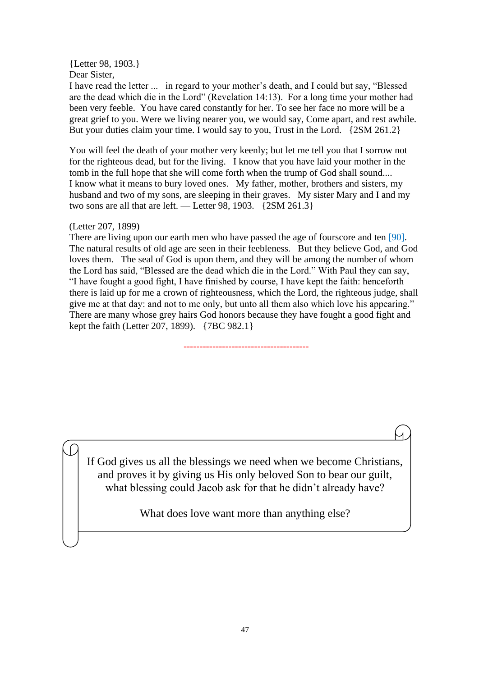{Letter 98, 1903.} Dear Sister,

I have read the letter ... in regard to your mother's death, and I could but say, "Blessed are the dead which die in the Lord" (Revelation 14:13). For a long time your mother had been very feeble. You have cared constantly for her. To see her face no more will be a great grief to you. Were we living nearer you, we would say, Come apart, and rest awhile. But your duties claim your time. I would say to you, Trust in the Lord. {2SM 261.2}

You will feel the death of your mother very keenly; but let me tell you that I sorrow not for the righteous dead, but for the living. I know that you have laid your mother in the tomb in the full hope that she will come forth when the trump of God shall sound.... I know what it means to bury loved ones. My father, mother, brothers and sisters, my husband and two of my sons, are sleeping in their graves. My sister Mary and I and my two sons are all that are left. — Letter 98, 1903. {2SM 261.3}

(Letter 207, 1899)

There are living upon our earth men who have passed the age of fourscore and ten [90]. The natural results of old age are seen in their feebleness. But they believe God, and God loves them. The seal of God is upon them, and they will be among the number of whom the Lord has said, "Blessed are the dead which die in the Lord." With Paul they can say, "I have fought a good fight, I have finished by course, I have kept the faith: henceforth there is laid up for me a crown of righteousness, which the Lord, the righteous judge, shall give me at that day: and not to me only, but unto all them also which love his appearing." There are many whose grey hairs God honors because they have fought a good fight and kept the faith (Letter 207, 1899). {7BC 982.1}

---------------------------------------

If God gives us all the blessings we need when we become Christians, and proves it by giving us His only beloved Son to bear our guilt, what blessing could Jacob ask for that he didn't already have?

What does love want more than anything else?